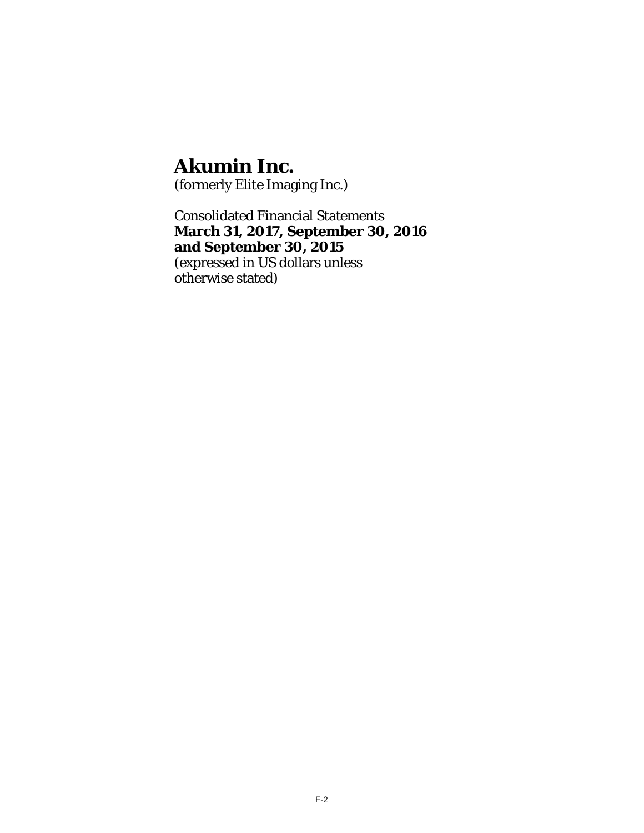(formerly Elite Imaging Inc.)

Consolidated Financial Statements **March 31, 2017, September 30, 2016 and September 30, 2015**  (expressed in US dollars unless otherwise stated)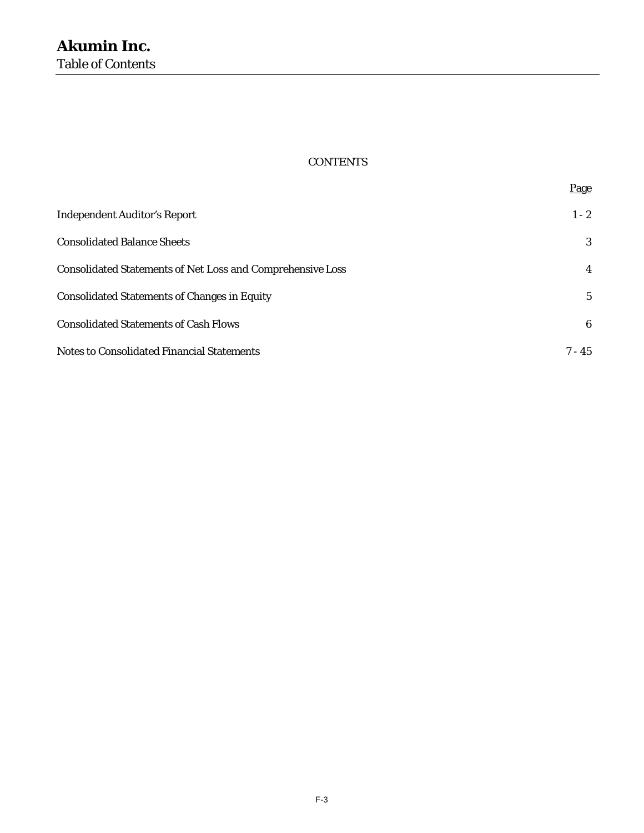# **CONTENTS**

Page

| <b>Independent Auditor's Report</b>                               | $1 - 2$     |
|-------------------------------------------------------------------|-------------|
| <b>Consolidated Balance Sheets</b>                                | 3           |
| <b>Consolidated Statements of Net Loss and Comprehensive Loss</b> | 4           |
| <b>Consolidated Statements of Changes in Equity</b>               | $5^{\circ}$ |
| <b>Consolidated Statements of Cash Flows</b>                      | 6           |
| <b>Notes to Consolidated Financial Statements</b>                 | $7 - 45$    |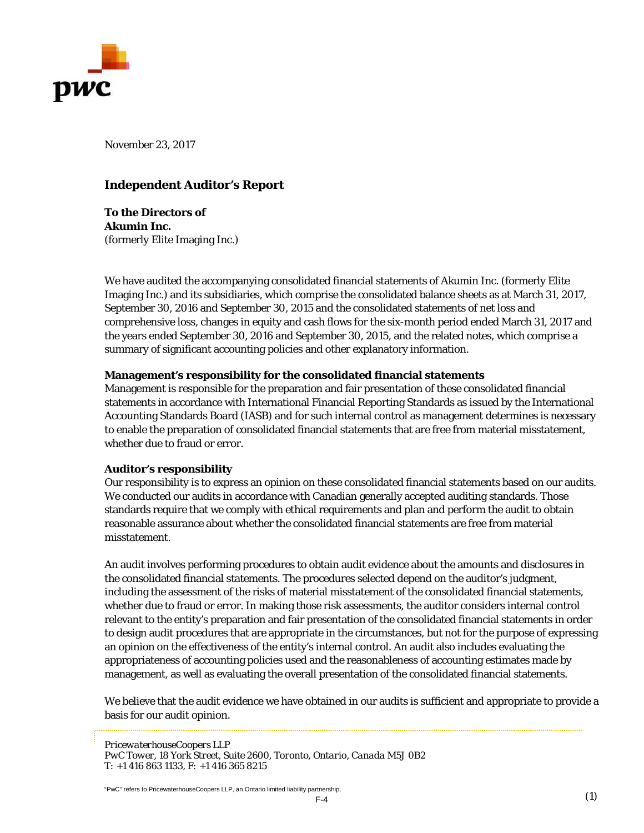

November 23, 2017

# **Independent Auditor's Report**

**To the Directors of Akumin Inc.**  (formerly Elite Imaging Inc.)

We have audited the accompanying consolidated financial statements of Akumin Inc. (formerly Elite Imaging Inc.) and its subsidiaries, which comprise the consolidated balance sheets as at March 31, 2017, September 30, 2016 and September 30, 2015 and the consolidated statements of net loss and comprehensive loss, changes in equity and cash flows for the six-month period ended March 31, 2017 and the years ended September 30, 2016 and September 30, 2015, and the related notes, which comprise a summary of significant accounting policies and other explanatory information.

#### **Management's responsibility for the consolidated financial statements**

Management is responsible for the preparation and fair presentation of these consolidated financial statements in accordance with International Financial Reporting Standards as issued by the International Accounting Standards Board (IASB) and for such internal control as management determines is necessary to enable the preparation of consolidated financial statements that are free from material misstatement, whether due to fraud or error.

#### **Auditor's responsibility**

Our responsibility is to express an opinion on these consolidated financial statements based on our audits. We conducted our audits in accordance with Canadian generally accepted auditing standards. Those standards require that we comply with ethical requirements and plan and perform the audit to obtain reasonable assurance about whether the consolidated financial statements are free from material misstatement.

An audit involves performing procedures to obtain audit evidence about the amounts and disclosures in the consolidated financial statements. The procedures selected depend on the auditor's judgment, including the assessment of the risks of material misstatement of the consolidated financial statements, whether due to fraud or error. In making those risk assessments, the auditor considers internal control relevant to the entity's preparation and fair presentation of the consolidated financial statements in order to design audit procedures that are appropriate in the circumstances, but not for the purpose of expressing an opinion on the effectiveness of the entity's internal control. An audit also includes evaluating the appropriateness of accounting policies used and the reasonableness of accounting estimates made by management, as well as evaluating the overall presentation of the consolidated financial statements.

We believe that the audit evidence we have obtained in our audits is sufficient and appropriate to provide a basis for our audit opinion.

*PricewaterhouseCoopers LLP PwC Tower, 18 York Street, Suite 2600, Toronto, Ontario, Canada M5J 0B2 T: +1 416 863 1133, F: +1 416 365 8215* 

"PwC" refers to PricewaterhouseCoopers LLP, an Ontario limited liability partnership.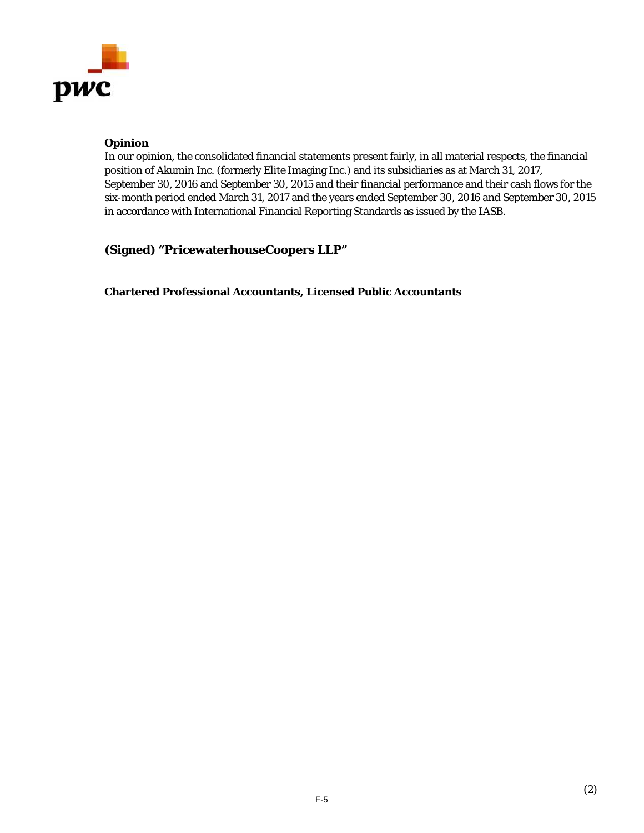

#### **Opinion**

In our opinion, the consolidated financial statements present fairly, in all material respects, the financial position of Akumin Inc. (formerly Elite Imaging Inc.) and its subsidiaries as at March 31, 2017, September 30, 2016 and September 30, 2015 and their financial performance and their cash flows for the six-month period ended March 31, 2017 and the years ended September 30, 2016 and September 30, 2015 in accordance with International Financial Reporting Standards as issued by the IASB.

**(Signed) "PricewaterhouseCoopers LLP"** 

**Chartered Professional Accountants, Licensed Public Accountants**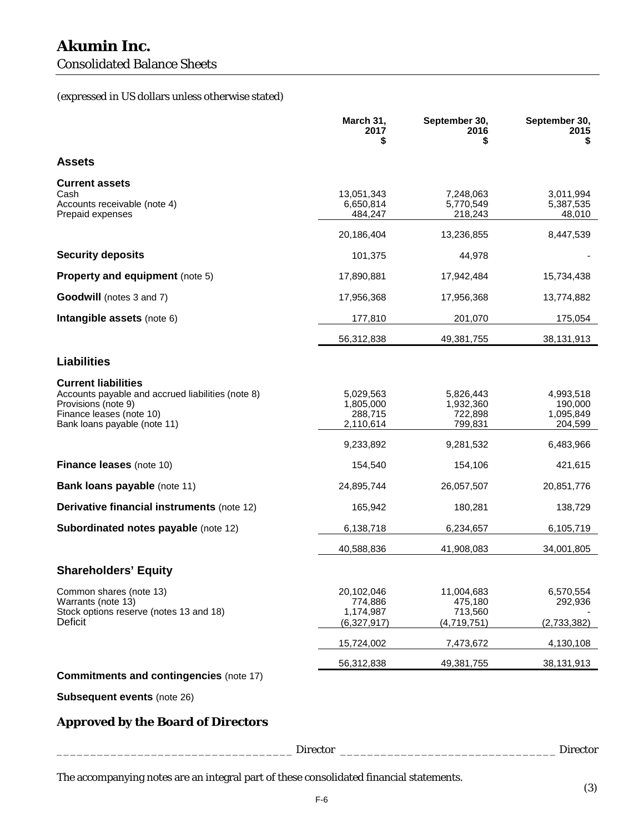# Consolidated Balance Sheets

# (expressed in US dollars unless otherwise stated)

|                                                                                                                                                                    | March 31,<br>2017<br>\$                                     | September 30,<br>2016<br>\$                               | September 30,<br>2015<br>S                                |
|--------------------------------------------------------------------------------------------------------------------------------------------------------------------|-------------------------------------------------------------|-----------------------------------------------------------|-----------------------------------------------------------|
| <b>Assets</b>                                                                                                                                                      |                                                             |                                                           |                                                           |
| <b>Current assets</b><br>Cash<br>Accounts receivable (note 4)<br>Prepaid expenses                                                                                  | 13,051,343<br>6,650,814<br>484,247<br>20,186,404            | 7,248,063<br>5,770,549<br>218,243<br>13,236,855           | 3,011,994<br>5,387,535<br>48,010<br>8,447,539             |
| <b>Security deposits</b>                                                                                                                                           | 101,375                                                     | 44,978                                                    |                                                           |
| Property and equipment (note 5)                                                                                                                                    | 17,890,881                                                  | 17,942,484                                                | 15,734,438                                                |
| <b>Goodwill</b> (notes 3 and 7)                                                                                                                                    | 17,956,368                                                  | 17,956,368                                                | 13,774,882                                                |
| Intangible assets (note 6)                                                                                                                                         | 177,810                                                     | 201,070                                                   | 175,054                                                   |
|                                                                                                                                                                    | 56,312,838                                                  | 49,381,755                                                | 38,131,913                                                |
| <b>Liabilities</b>                                                                                                                                                 |                                                             |                                                           |                                                           |
| <b>Current liabilities</b><br>Accounts payable and accrued liabilities (note 8)<br>Provisions (note 9)<br>Finance leases (note 10)<br>Bank loans payable (note 11) | 5,029,563<br>1,805,000<br>288,715<br>2,110,614<br>9,233,892 | 5.826.443<br>1,932,360<br>722,898<br>799,831<br>9,281,532 | 4,993,518<br>190,000<br>1,095,849<br>204,599<br>6,483,966 |
| <b>Finance leases (note 10)</b>                                                                                                                                    | 154,540                                                     | 154,106                                                   | 421,615                                                   |
| <b>Bank loans payable (note 11)</b>                                                                                                                                | 24,895,744                                                  | 26,057,507                                                | 20,851,776                                                |
| Derivative financial instruments (note 12)                                                                                                                         | 165,942                                                     | 180,281                                                   | 138,729                                                   |
| Subordinated notes payable (note 12)                                                                                                                               | 6,138,718                                                   | 6,234,657                                                 | 6,105,719                                                 |
|                                                                                                                                                                    | 40,588,836                                                  | 41,908,083                                                | 34,001,805                                                |
| <b>Shareholders' Equity</b>                                                                                                                                        |                                                             |                                                           |                                                           |
| Common shares (note 13)<br>Warrants (note 13)<br>Stock options reserve (notes 13 and 18)<br>Deficit                                                                | 20,102,046<br>774,886<br>1,174,987<br>(6,327,917)           | 11,004,683<br>475,180<br>713,560<br>(4,719,751)           | 6,570,554<br>292,936<br>(2,733,382)                       |
|                                                                                                                                                                    | 15,724,002                                                  | 7,473,672                                                 | 4,130,108                                                 |
|                                                                                                                                                                    | 56,312,838                                                  | 49,381,755                                                | 38,131,913                                                |
| <b>Commitments and contingencies (note 17)</b>                                                                                                                     |                                                             |                                                           |                                                           |

**Subsequent events** (note 26)

# **Approved by the Board of Directors**

|          | $\mathbf{L}$ |
|----------|--------------|
| Director |              |
| ww       | nra          |
| ້ີ       | ້ີ           |

The accompanying notes are an integral part of these consolidated financial statements.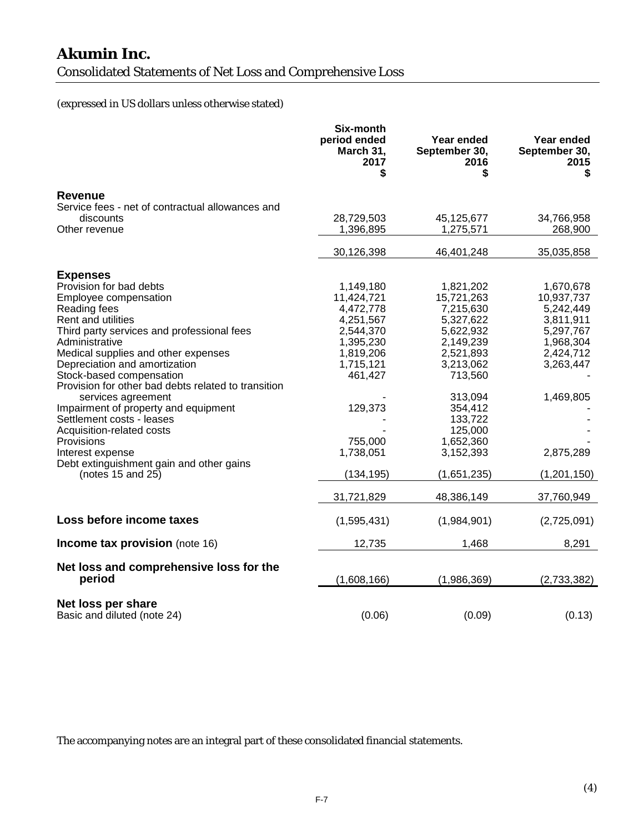Consolidated Statements of Net Loss and Comprehensive Loss

# (expressed in US dollars unless otherwise stated)

|                                                               | Six-month<br>period ended<br>March 31,<br>2017<br>\$ | Year ended<br>September 30,<br>2016 | Year ended<br>September 30,<br>2015<br>\$ |
|---------------------------------------------------------------|------------------------------------------------------|-------------------------------------|-------------------------------------------|
| <b>Revenue</b>                                                |                                                      |                                     |                                           |
| Service fees - net of contractual allowances and              |                                                      |                                     |                                           |
| discounts                                                     | 28,729,503                                           | 45,125,677                          | 34,766,958                                |
| Other revenue                                                 | 1,396,895                                            | 1,275,571                           | 268,900                                   |
|                                                               | 30,126,398                                           | 46,401,248                          | 35,035,858                                |
| <b>Expenses</b>                                               |                                                      |                                     |                                           |
| Provision for bad debts                                       | 1,149,180                                            | 1,821,202                           | 1,670,678                                 |
| Employee compensation                                         | 11,424,721                                           | 15,721,263                          | 10,937,737                                |
| Reading fees                                                  | 4,472,778                                            | 7,215,630                           | 5,242,449                                 |
| Rent and utilities                                            | 4,251,567                                            | 5,327,622                           | 3,811,911                                 |
| Third party services and professional fees                    | 2,544,370                                            | 5,622,932                           | 5,297,767                                 |
| Administrative<br>Medical supplies and other expenses         | 1,395,230<br>1,819,206                               | 2,149,239<br>2,521,893              | 1,968,304<br>2,424,712                    |
| Depreciation and amortization                                 | 1,715,121                                            | 3,213,062                           | 3,263,447                                 |
| Stock-based compensation                                      | 461,427                                              | 713,560                             |                                           |
| Provision for other bad debts related to transition           |                                                      |                                     |                                           |
| services agreement                                            |                                                      | 313,094                             | 1,469,805                                 |
| Impairment of property and equipment                          | 129,373                                              | 354,412                             |                                           |
| Settlement costs - leases                                     |                                                      | 133,722                             |                                           |
| Acquisition-related costs                                     |                                                      | 125,000                             |                                           |
| Provisions                                                    | 755,000                                              | 1,652,360                           |                                           |
| Interest expense                                              | 1,738,051                                            | 3,152,393                           | 2,875,289                                 |
| Debt extinguishment gain and other gains<br>(notes 15 and 25) | (134, 195)                                           | (1,651,235)                         | (1,201,150)                               |
|                                                               | 31,721,829                                           | 48,386,149                          | 37,760,949                                |
| Loss before income taxes                                      | (1,595,431)                                          | (1,984,901)                         | (2,725,091)                               |
| Income tax provision (note 16)                                | 12,735                                               | 1,468                               | 8,291                                     |
| Net loss and comprehensive loss for the<br>period             | (1,608,166)                                          | (1,986,369)                         | (2,733,382)                               |
| Net loss per share<br>Basic and diluted (note 24)             | (0.06)                                               | (0.09)                              | (0.13)                                    |

The accompanying notes are an integral part of these consolidated financial statements.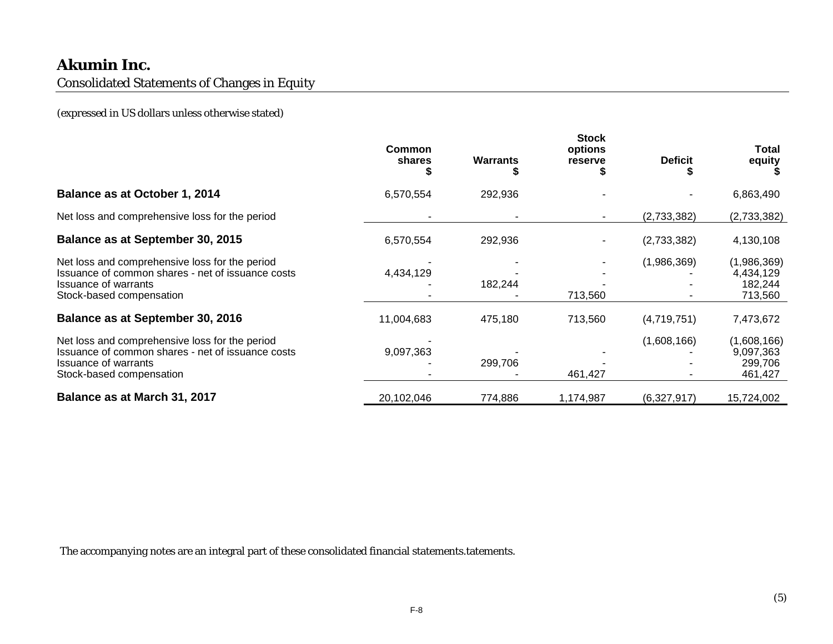Consolidated Statements of Changes in Equity

(expressed in US dollars unless otherwise stated)

|                                                                                                                                                                | Common<br>shares | <b>Warrants</b> | <b>Stock</b><br>options<br>reserve | <b>Deficit</b> | Total<br>equity                                |
|----------------------------------------------------------------------------------------------------------------------------------------------------------------|------------------|-----------------|------------------------------------|----------------|------------------------------------------------|
| Balance as at October 1, 2014                                                                                                                                  | 6,570,554        | 292,936         |                                    |                | 6,863,490                                      |
| Net loss and comprehensive loss for the period                                                                                                                 |                  |                 |                                    | (2,733,382)    | (2,733,382)                                    |
| Balance as at September 30, 2015                                                                                                                               | 6,570,554        | 292,936         |                                    | (2,733,382)    | 4,130,108                                      |
| Net loss and comprehensive loss for the period<br>Issuance of common shares - net of issuance costs<br><b>Issuance of warrants</b><br>Stock-based compensation | 4,434,129        | 182,244         | 713,560                            | (1,986,369)    | (1,986,369)<br>4,434,129<br>182,244<br>713,560 |
| Balance as at September 30, 2016                                                                                                                               | 11,004,683       | 475,180         | 713,560                            | (4,719,751)    | 7,473,672                                      |
| Net loss and comprehensive loss for the period<br>Issuance of common shares - net of issuance costs<br><b>Issuance of warrants</b><br>Stock-based compensation | 9,097,363        | 299,706         | 461,427                            | (1,608,166)    | (1,608,166)<br>9,097,363<br>299,706<br>461,427 |
| Balance as at March 31, 2017                                                                                                                                   | 20,102,046       | 774,886         | 1,174,987                          | (6,327,917)    | 15,724,002                                     |

The accompanying notes are an integral part of these consolidated financial statements.tatements.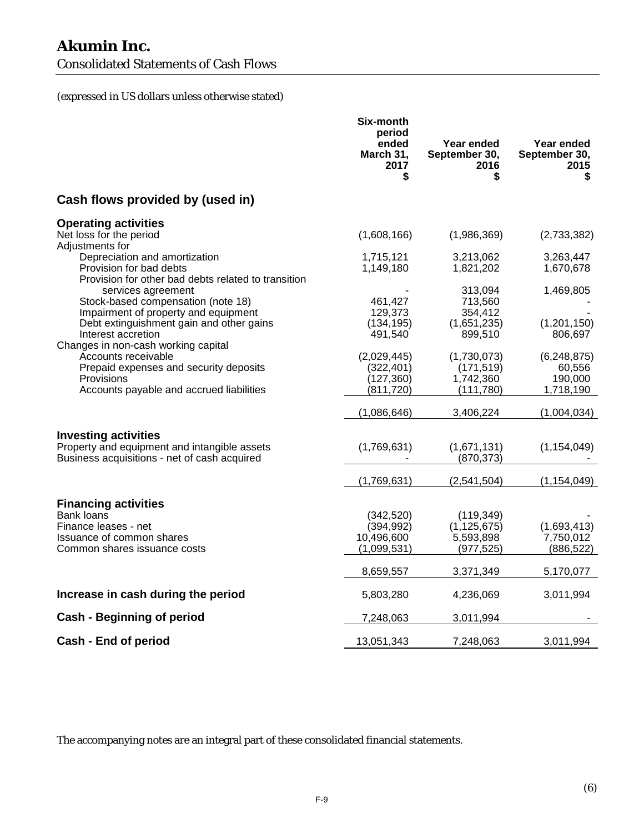Consolidated Statements of Cash Flows

(expressed in US dollars unless otherwise stated)

|                                                                             | Six-month<br>period<br>ended<br>March 31,<br>2017<br>\$ | Year ended<br>September 30,<br>2016<br>\$ | Year ended<br>September 30,<br>2015<br>\$ |
|-----------------------------------------------------------------------------|---------------------------------------------------------|-------------------------------------------|-------------------------------------------|
| Cash flows provided by (used in)                                            |                                                         |                                           |                                           |
| <b>Operating activities</b>                                                 |                                                         |                                           |                                           |
| Net loss for the period<br>Adjustments for                                  | (1,608,166)                                             | (1,986,369)                               | (2,733,382)                               |
| Depreciation and amortization                                               | 1,715,121                                               | 3,213,062                                 | 3,263,447                                 |
| Provision for bad debts                                                     | 1,149,180                                               | 1,821,202                                 | 1,670,678                                 |
| Provision for other bad debts related to transition<br>services agreement   |                                                         | 313,094                                   | 1,469,805                                 |
| Stock-based compensation (note 18)                                          | 461,427                                                 | 713,560                                   |                                           |
| Impairment of property and equipment                                        | 129,373                                                 | 354,412                                   |                                           |
| Debt extinguishment gain and other gains                                    | (134, 195)                                              | (1,651,235)                               | (1,201,150)                               |
| Interest accretion                                                          | 491,540                                                 | 899,510                                   | 806,697                                   |
| Changes in non-cash working capital                                         |                                                         |                                           |                                           |
| Accounts receivable                                                         | (2,029,445)                                             | (1,730,073)                               | (6,248,875)                               |
| Prepaid expenses and security deposits                                      | (322, 401)                                              | (171, 519)                                | 60,556                                    |
| Provisions                                                                  | (127, 360)                                              | 1,742,360                                 | 190,000                                   |
| Accounts payable and accrued liabilities                                    | (811, 720)                                              | (111,780)                                 | 1,718,190                                 |
|                                                                             | (1,086,646)                                             | 3,406,224                                 | (1,004,034)                               |
|                                                                             |                                                         |                                           |                                           |
| <b>Investing activities</b><br>Property and equipment and intangible assets | (1,769,631)                                             | (1,671,131)                               | (1, 154, 049)                             |
| Business acquisitions - net of cash acquired                                |                                                         | (870, 373)                                |                                           |
|                                                                             |                                                         |                                           |                                           |
|                                                                             | (1,769,631)                                             | (2,541,504)                               | (1, 154, 049)                             |
| <b>Financing activities</b>                                                 |                                                         |                                           |                                           |
| Bank loans                                                                  | (342, 520)                                              | (119, 349)                                |                                           |
| Finance leases - net                                                        | (394, 992)                                              | (1, 125, 675)                             | (1,693,413)                               |
| Issuance of common shares                                                   | 10,496,600                                              | 5,593,898                                 | 7,750,012                                 |
| Common shares issuance costs                                                | (1,099,531)                                             | (977, 525)                                | (886, 522)                                |
|                                                                             |                                                         |                                           |                                           |
|                                                                             | 8,659,557                                               | 3,371,349                                 | 5,170,077                                 |
| Increase in cash during the period                                          | 5,803,280                                               | 4,236,069                                 | 3,011,994                                 |
|                                                                             |                                                         |                                           |                                           |
| <b>Cash - Beginning of period</b>                                           | 7,248,063                                               | 3,011,994                                 |                                           |
| Cash - End of period                                                        | 13,051,343                                              | 7,248,063                                 | 3,011,994                                 |

The accompanying notes are an integral part of these consolidated financial statements.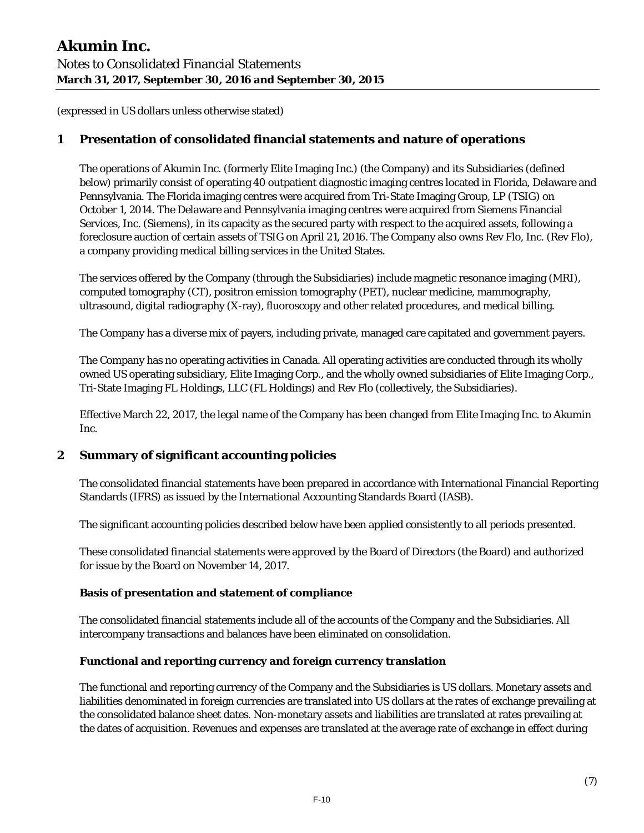# **1 Presentation of consolidated financial statements and nature of operations**

The operations of Akumin Inc. (formerly Elite Imaging Inc.) (the Company) and its Subsidiaries (defined below) primarily consist of operating 40 outpatient diagnostic imaging centres located in Florida, Delaware and Pennsylvania. The Florida imaging centres were acquired from Tri-State Imaging Group, LP (TSIG) on October 1, 2014. The Delaware and Pennsylvania imaging centres were acquired from Siemens Financial Services, Inc. (Siemens), in its capacity as the secured party with respect to the acquired assets, following a foreclosure auction of certain assets of TSIG on April 21, 2016. The Company also owns Rev Flo, Inc. (Rev Flo), a company providing medical billing services in the United States.

The services offered by the Company (through the Subsidiaries) include magnetic resonance imaging (MRI), computed tomography (CT), positron emission tomography (PET), nuclear medicine, mammography, ultrasound, digital radiography (X-ray), fluoroscopy and other related procedures, and medical billing.

The Company has a diverse mix of payers, including private, managed care capitated and government payers.

The Company has no operating activities in Canada. All operating activities are conducted through its wholly owned US operating subsidiary, Elite Imaging Corp., and the wholly owned subsidiaries of Elite Imaging Corp., Tri-State Imaging FL Holdings, LLC (FL Holdings) and Rev Flo (collectively, the Subsidiaries).

Effective March 22, 2017, the legal name of the Company has been changed from Elite Imaging Inc. to Akumin Inc.

# **2 Summary of significant accounting policies**

The consolidated financial statements have been prepared in accordance with International Financial Reporting Standards (IFRS) as issued by the International Accounting Standards Board (IASB).

The significant accounting policies described below have been applied consistently to all periods presented.

These consolidated financial statements were approved by the Board of Directors (the Board) and authorized for issue by the Board on November 14, 2017.

#### **Basis of presentation and statement of compliance**

The consolidated financial statements include all of the accounts of the Company and the Subsidiaries. All intercompany transactions and balances have been eliminated on consolidation.

#### **Functional and reporting currency and foreign currency translation**

The functional and reporting currency of the Company and the Subsidiaries is US dollars. Monetary assets and liabilities denominated in foreign currencies are translated into US dollars at the rates of exchange prevailing at the consolidated balance sheet dates. Non-monetary assets and liabilities are translated at rates prevailing at the dates of acquisition. Revenues and expenses are translated at the average rate of exchange in effect during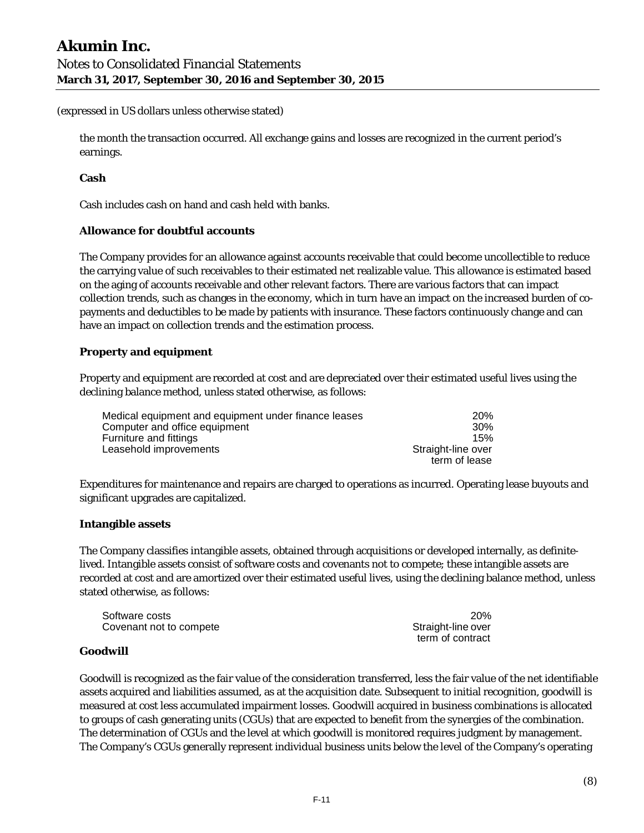the month the transaction occurred. All exchange gains and losses are recognized in the current period's earnings.

#### **Cash**

Cash includes cash on hand and cash held with banks.

#### **Allowance for doubtful accounts**

The Company provides for an allowance against accounts receivable that could become uncollectible to reduce the carrying value of such receivables to their estimated net realizable value. This allowance is estimated based on the aging of accounts receivable and other relevant factors. There are various factors that can impact collection trends, such as changes in the economy, which in turn have an impact on the increased burden of copayments and deductibles to be made by patients with insurance. These factors continuously change and can have an impact on collection trends and the estimation process.

# **Property and equipment**

Property and equipment are recorded at cost and are depreciated over their estimated useful lives using the declining balance method, unless stated otherwise, as follows:

| Medical equipment and equipment under finance leases | 20%                |
|------------------------------------------------------|--------------------|
| Computer and office equipment                        | 30 <sup>%</sup>    |
| Furniture and fittings                               | 15%                |
| Leasehold improvements                               | Straight-line over |
|                                                      | term of lease      |

Expenditures for maintenance and repairs are charged to operations as incurred. Operating lease buyouts and significant upgrades are capitalized.

#### **Intangible assets**

The Company classifies intangible assets, obtained through acquisitions or developed internally, as definitelived. Intangible assets consist of software costs and covenants not to compete; these intangible assets are recorded at cost and are amortized over their estimated useful lives, using the declining balance method, unless stated otherwise, as follows:

| Software costs          | 20%                |
|-------------------------|--------------------|
| Covenant not to compete | Straight-line over |
|                         | term of contract   |

#### **Goodwill**

Goodwill is recognized as the fair value of the consideration transferred, less the fair value of the net identifiable assets acquired and liabilities assumed, as at the acquisition date. Subsequent to initial recognition, goodwill is measured at cost less accumulated impairment losses. Goodwill acquired in business combinations is allocated to groups of cash generating units (CGUs) that are expected to benefit from the synergies of the combination. The determination of CGUs and the level at which goodwill is monitored requires judgment by management. The Company's CGUs generally represent individual business units below the level of the Company's operating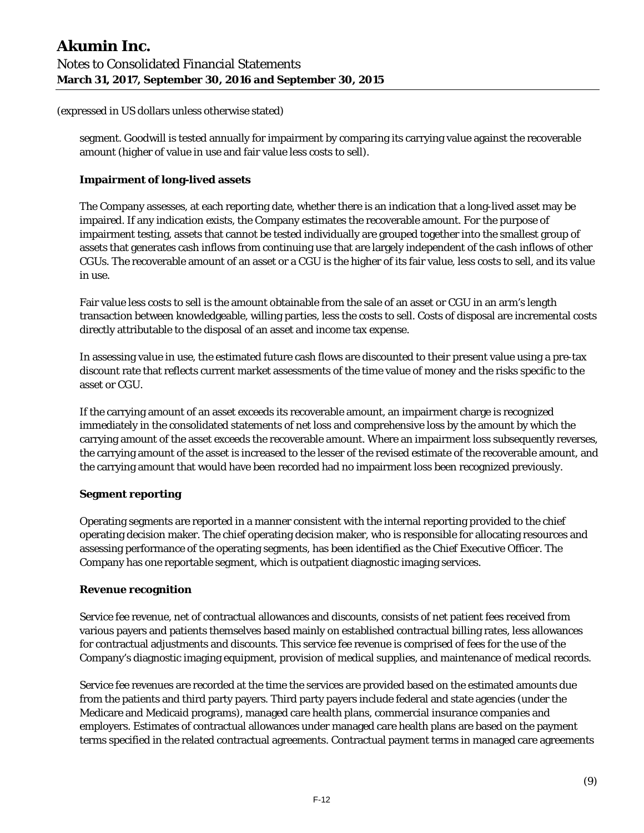segment. Goodwill is tested annually for impairment by comparing its carrying value against the recoverable amount (higher of value in use and fair value less costs to sell).

#### **Impairment of long-lived assets**

The Company assesses, at each reporting date, whether there is an indication that a long-lived asset may be impaired. If any indication exists, the Company estimates the recoverable amount. For the purpose of impairment testing, assets that cannot be tested individually are grouped together into the smallest group of assets that generates cash inflows from continuing use that are largely independent of the cash inflows of other CGUs. The recoverable amount of an asset or a CGU is the higher of its fair value, less costs to sell, and its value in use.

Fair value less costs to sell is the amount obtainable from the sale of an asset or CGU in an arm's length transaction between knowledgeable, willing parties, less the costs to sell. Costs of disposal are incremental costs directly attributable to the disposal of an asset and income tax expense.

In assessing value in use, the estimated future cash flows are discounted to their present value using a pre-tax discount rate that reflects current market assessments of the time value of money and the risks specific to the asset or CGU.

If the carrying amount of an asset exceeds its recoverable amount, an impairment charge is recognized immediately in the consolidated statements of net loss and comprehensive loss by the amount by which the carrying amount of the asset exceeds the recoverable amount. Where an impairment loss subsequently reverses, the carrying amount of the asset is increased to the lesser of the revised estimate of the recoverable amount, and the carrying amount that would have been recorded had no impairment loss been recognized previously.

#### **Segment reporting**

Operating segments are reported in a manner consistent with the internal reporting provided to the chief operating decision maker. The chief operating decision maker, who is responsible for allocating resources and assessing performance of the operating segments, has been identified as the Chief Executive Officer. The Company has one reportable segment, which is outpatient diagnostic imaging services.

#### **Revenue recognition**

Service fee revenue, net of contractual allowances and discounts, consists of net patient fees received from various payers and patients themselves based mainly on established contractual billing rates, less allowances for contractual adjustments and discounts. This service fee revenue is comprised of fees for the use of the Company's diagnostic imaging equipment, provision of medical supplies, and maintenance of medical records.

Service fee revenues are recorded at the time the services are provided based on the estimated amounts due from the patients and third party payers. Third party payers include federal and state agencies (under the Medicare and Medicaid programs), managed care health plans, commercial insurance companies and employers. Estimates of contractual allowances under managed care health plans are based on the payment terms specified in the related contractual agreements. Contractual payment terms in managed care agreements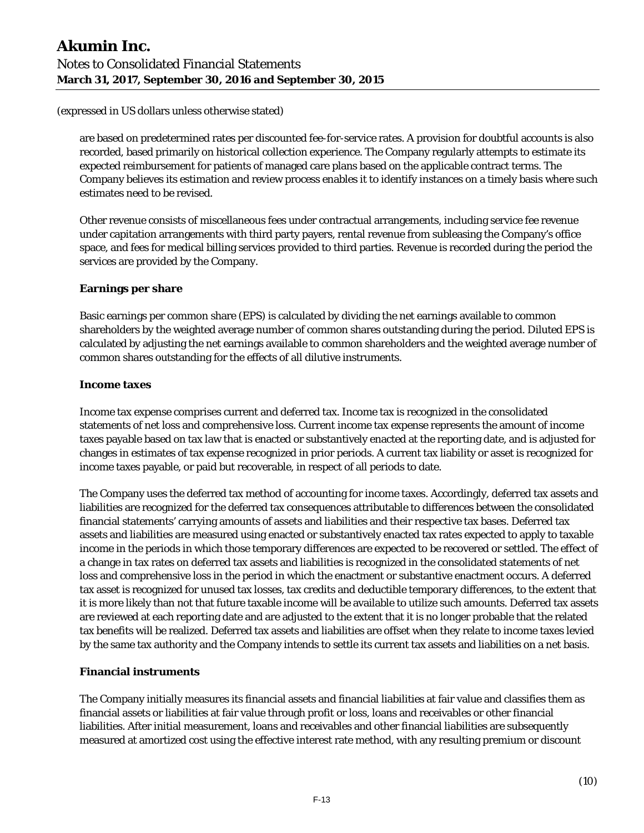are based on predetermined rates per discounted fee-for-service rates. A provision for doubtful accounts is also recorded, based primarily on historical collection experience. The Company regularly attempts to estimate its expected reimbursement for patients of managed care plans based on the applicable contract terms. The Company believes its estimation and review process enables it to identify instances on a timely basis where such estimates need to be revised.

Other revenue consists of miscellaneous fees under contractual arrangements, including service fee revenue under capitation arrangements with third party payers, rental revenue from subleasing the Company's office space, and fees for medical billing services provided to third parties. Revenue is recorded during the period the services are provided by the Company.

# **Earnings per share**

Basic earnings per common share (EPS) is calculated by dividing the net earnings available to common shareholders by the weighted average number of common shares outstanding during the period. Diluted EPS is calculated by adjusting the net earnings available to common shareholders and the weighted average number of common shares outstanding for the effects of all dilutive instruments.

#### **Income taxes**

Income tax expense comprises current and deferred tax. Income tax is recognized in the consolidated statements of net loss and comprehensive loss. Current income tax expense represents the amount of income taxes payable based on tax law that is enacted or substantively enacted at the reporting date, and is adjusted for changes in estimates of tax expense recognized in prior periods. A current tax liability or asset is recognized for income taxes payable, or paid but recoverable, in respect of all periods to date.

The Company uses the deferred tax method of accounting for income taxes. Accordingly, deferred tax assets and liabilities are recognized for the deferred tax consequences attributable to differences between the consolidated financial statements' carrying amounts of assets and liabilities and their respective tax bases. Deferred tax assets and liabilities are measured using enacted or substantively enacted tax rates expected to apply to taxable income in the periods in which those temporary differences are expected to be recovered or settled. The effect of a change in tax rates on deferred tax assets and liabilities is recognized in the consolidated statements of net loss and comprehensive loss in the period in which the enactment or substantive enactment occurs. A deferred tax asset is recognized for unused tax losses, tax credits and deductible temporary differences, to the extent that it is more likely than not that future taxable income will be available to utilize such amounts. Deferred tax assets are reviewed at each reporting date and are adjusted to the extent that it is no longer probable that the related tax benefits will be realized. Deferred tax assets and liabilities are offset when they relate to income taxes levied by the same tax authority and the Company intends to settle its current tax assets and liabilities on a net basis.

#### **Financial instruments**

The Company initially measures its financial assets and financial liabilities at fair value and classifies them as financial assets or liabilities at fair value through profit or loss, loans and receivables or other financial liabilities. After initial measurement, loans and receivables and other financial liabilities are subsequently measured at amortized cost using the effective interest rate method, with any resulting premium or discount

F-13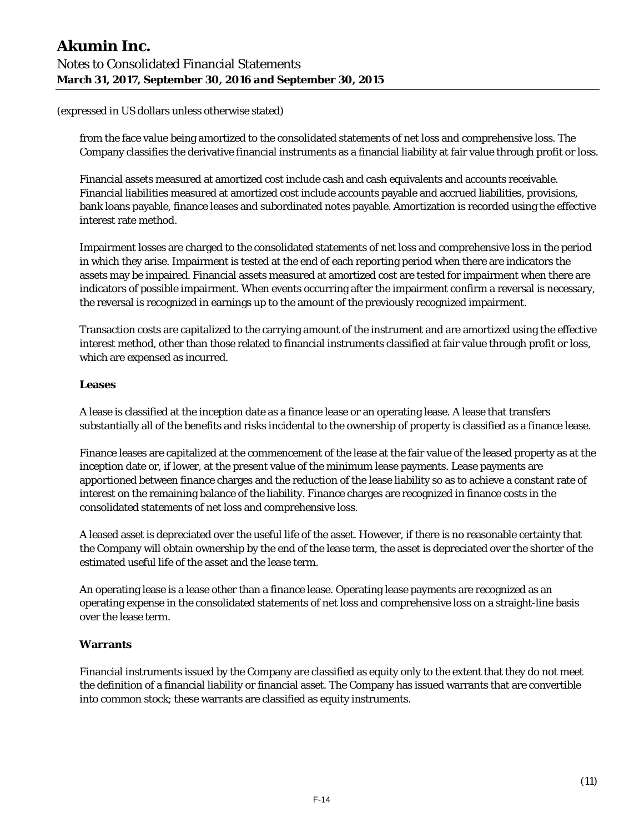from the face value being amortized to the consolidated statements of net loss and comprehensive loss. The Company classifies the derivative financial instruments as a financial liability at fair value through profit or loss.

Financial assets measured at amortized cost include cash and cash equivalents and accounts receivable. Financial liabilities measured at amortized cost include accounts payable and accrued liabilities, provisions, bank loans payable, finance leases and subordinated notes payable. Amortization is recorded using the effective interest rate method.

Impairment losses are charged to the consolidated statements of net loss and comprehensive loss in the period in which they arise. Impairment is tested at the end of each reporting period when there are indicators the assets may be impaired. Financial assets measured at amortized cost are tested for impairment when there are indicators of possible impairment. When events occurring after the impairment confirm a reversal is necessary, the reversal is recognized in earnings up to the amount of the previously recognized impairment.

Transaction costs are capitalized to the carrying amount of the instrument and are amortized using the effective interest method, other than those related to financial instruments classified at fair value through profit or loss, which are expensed as incurred.

#### **Leases**

A lease is classified at the inception date as a finance lease or an operating lease. A lease that transfers substantially all of the benefits and risks incidental to the ownership of property is classified as a finance lease.

Finance leases are capitalized at the commencement of the lease at the fair value of the leased property as at the inception date or, if lower, at the present value of the minimum lease payments. Lease payments are apportioned between finance charges and the reduction of the lease liability so as to achieve a constant rate of interest on the remaining balance of the liability. Finance charges are recognized in finance costs in the consolidated statements of net loss and comprehensive loss.

A leased asset is depreciated over the useful life of the asset. However, if there is no reasonable certainty that the Company will obtain ownership by the end of the lease term, the asset is depreciated over the shorter of the estimated useful life of the asset and the lease term.

An operating lease is a lease other than a finance lease. Operating lease payments are recognized as an operating expense in the consolidated statements of net loss and comprehensive loss on a straight-line basis over the lease term.

#### **Warrants**

Financial instruments issued by the Company are classified as equity only to the extent that they do not meet the definition of a financial liability or financial asset. The Company has issued warrants that are convertible into common stock; these warrants are classified as equity instruments.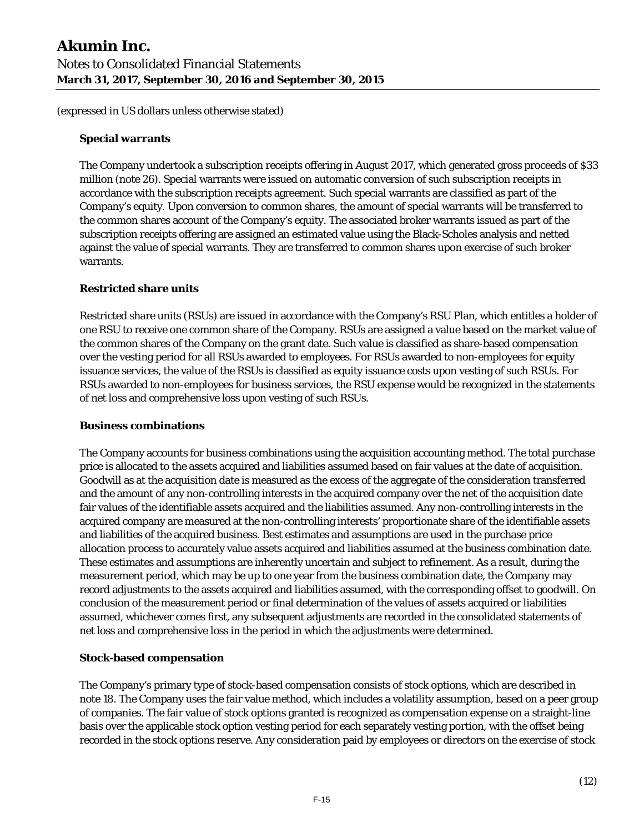#### **Special warrants**

The Company undertook a subscription receipts offering in August 2017, which generated gross proceeds of \$33 million (note 26). Special warrants were issued on automatic conversion of such subscription receipts in accordance with the subscription receipts agreement. Such special warrants are classified as part of the Company's equity. Upon conversion to common shares, the amount of special warrants will be transferred to the common shares account of the Company's equity. The associated broker warrants issued as part of the subscription receipts offering are assigned an estimated value using the Black-Scholes analysis and netted against the value of special warrants. They are transferred to common shares upon exercise of such broker warrants.

#### **Restricted share units**

Restricted share units (RSUs) are issued in accordance with the Company's RSU Plan, which entitles a holder of one RSU to receive one common share of the Company. RSUs are assigned a value based on the market value of the common shares of the Company on the grant date. Such value is classified as share-based compensation over the vesting period for all RSUs awarded to employees. For RSUs awarded to non-employees for equity issuance services, the value of the RSUs is classified as equity issuance costs upon vesting of such RSUs. For RSUs awarded to non-employees for business services, the RSU expense would be recognized in the statements of net loss and comprehensive loss upon vesting of such RSUs.

#### **Business combinations**

The Company accounts for business combinations using the acquisition accounting method. The total purchase price is allocated to the assets acquired and liabilities assumed based on fair values at the date of acquisition. Goodwill as at the acquisition date is measured as the excess of the aggregate of the consideration transferred and the amount of any non-controlling interests in the acquired company over the net of the acquisition date fair values of the identifiable assets acquired and the liabilities assumed. Any non-controlling interests in the acquired company are measured at the non-controlling interests' proportionate share of the identifiable assets and liabilities of the acquired business. Best estimates and assumptions are used in the purchase price allocation process to accurately value assets acquired and liabilities assumed at the business combination date. These estimates and assumptions are inherently uncertain and subject to refinement. As a result, during the measurement period, which may be up to one year from the business combination date, the Company may record adjustments to the assets acquired and liabilities assumed, with the corresponding offset to goodwill. On conclusion of the measurement period or final determination of the values of assets acquired or liabilities assumed, whichever comes first, any subsequent adjustments are recorded in the consolidated statements of net loss and comprehensive loss in the period in which the adjustments were determined.

#### **Stock-based compensation**

The Company's primary type of stock-based compensation consists of stock options, which are described in note 18. The Company uses the fair value method, which includes a volatility assumption, based on a peer group of companies. The fair value of stock options granted is recognized as compensation expense on a straight-line basis over the applicable stock option vesting period for each separately vesting portion, with the offset being recorded in the stock options reserve. Any consideration paid by employees or directors on the exercise of stock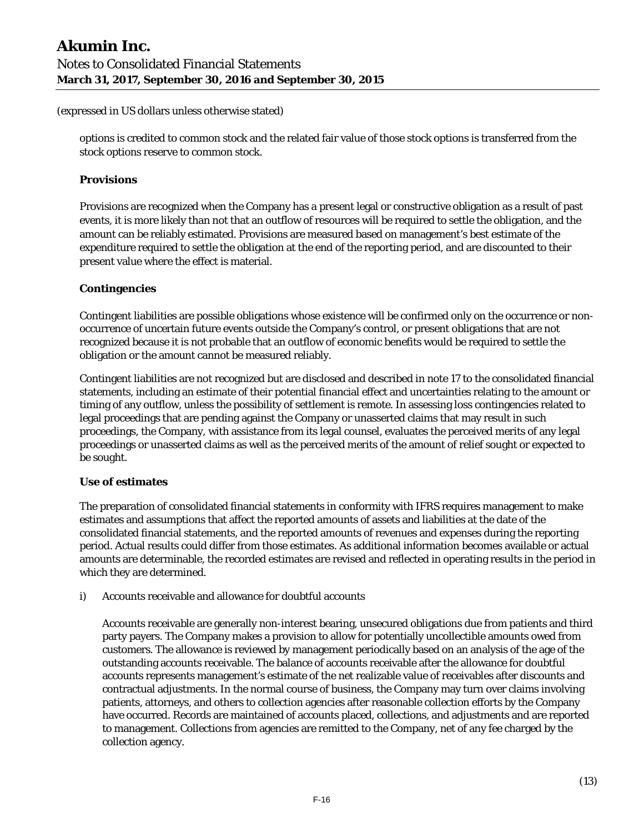options is credited to common stock and the related fair value of those stock options is transferred from the stock options reserve to common stock.

#### **Provisions**

Provisions are recognized when the Company has a present legal or constructive obligation as a result of past events, it is more likely than not that an outflow of resources will be required to settle the obligation, and the amount can be reliably estimated. Provisions are measured based on management's best estimate of the expenditure required to settle the obligation at the end of the reporting period, and are discounted to their present value where the effect is material.

#### **Contingencies**

Contingent liabilities are possible obligations whose existence will be confirmed only on the occurrence or nonoccurrence of uncertain future events outside the Company's control, or present obligations that are not recognized because it is not probable that an outflow of economic benefits would be required to settle the obligation or the amount cannot be measured reliably.

Contingent liabilities are not recognized but are disclosed and described in note 17 to the consolidated financial statements, including an estimate of their potential financial effect and uncertainties relating to the amount or timing of any outflow, unless the possibility of settlement is remote. In assessing loss contingencies related to legal proceedings that are pending against the Company or unasserted claims that may result in such proceedings, the Company, with assistance from its legal counsel, evaluates the perceived merits of any legal proceedings or unasserted claims as well as the perceived merits of the amount of relief sought or expected to be sought.

#### **Use of estimates**

The preparation of consolidated financial statements in conformity with IFRS requires management to make estimates and assumptions that affect the reported amounts of assets and liabilities at the date of the consolidated financial statements, and the reported amounts of revenues and expenses during the reporting period. Actual results could differ from those estimates. As additional information becomes available or actual amounts are determinable, the recorded estimates are revised and reflected in operating results in the period in which they are determined.

i) Accounts receivable and allowance for doubtful accounts

Accounts receivable are generally non-interest bearing, unsecured obligations due from patients and third party payers. The Company makes a provision to allow for potentially uncollectible amounts owed from customers. The allowance is reviewed by management periodically based on an analysis of the age of the outstanding accounts receivable. The balance of accounts receivable after the allowance for doubtful accounts represents management's estimate of the net realizable value of receivables after discounts and contractual adjustments. In the normal course of business, the Company may turn over claims involving patients, attorneys, and others to collection agencies after reasonable collection efforts by the Company have occurred. Records are maintained of accounts placed, collections, and adjustments and are reported to management. Collections from agencies are remitted to the Company, net of any fee charged by the collection agency.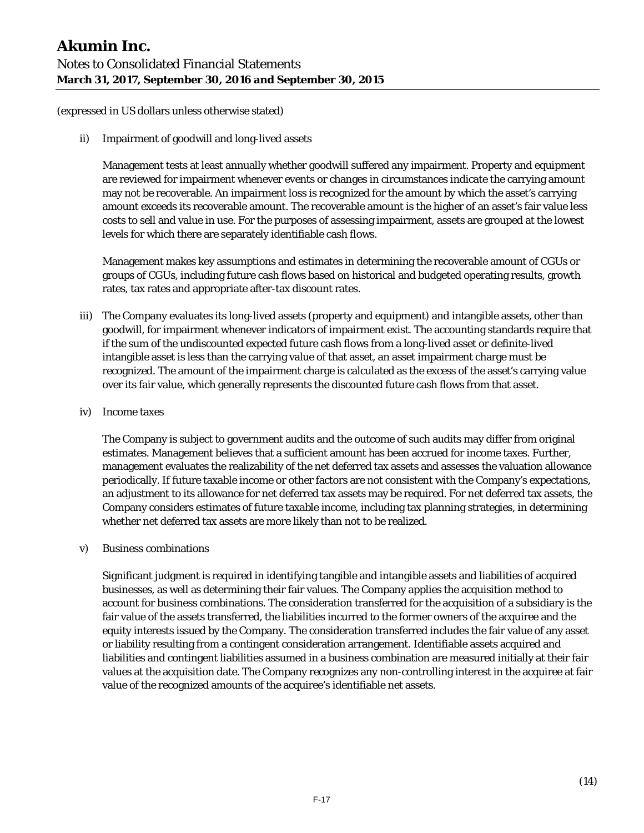ii) Impairment of goodwill and long-lived assets

Management tests at least annually whether goodwill suffered any impairment. Property and equipment are reviewed for impairment whenever events or changes in circumstances indicate the carrying amount may not be recoverable. An impairment loss is recognized for the amount by which the asset's carrying amount exceeds its recoverable amount. The recoverable amount is the higher of an asset's fair value less costs to sell and value in use. For the purposes of assessing impairment, assets are grouped at the lowest levels for which there are separately identifiable cash flows.

Management makes key assumptions and estimates in determining the recoverable amount of CGUs or groups of CGUs, including future cash flows based on historical and budgeted operating results, growth rates, tax rates and appropriate after-tax discount rates.

- iii) The Company evaluates its long-lived assets (property and equipment) and intangible assets, other than goodwill, for impairment whenever indicators of impairment exist. The accounting standards require that if the sum of the undiscounted expected future cash flows from a long-lived asset or definite-lived intangible asset is less than the carrying value of that asset, an asset impairment charge must be recognized. The amount of the impairment charge is calculated as the excess of the asset's carrying value over its fair value, which generally represents the discounted future cash flows from that asset.
- iv) Income taxes

The Company is subject to government audits and the outcome of such audits may differ from original estimates. Management believes that a sufficient amount has been accrued for income taxes. Further, management evaluates the realizability of the net deferred tax assets and assesses the valuation allowance periodically. If future taxable income or other factors are not consistent with the Company's expectations, an adjustment to its allowance for net deferred tax assets may be required. For net deferred tax assets, the Company considers estimates of future taxable income, including tax planning strategies, in determining whether net deferred tax assets are more likely than not to be realized.

v) Business combinations

Significant judgment is required in identifying tangible and intangible assets and liabilities of acquired businesses, as well as determining their fair values. The Company applies the acquisition method to account for business combinations. The consideration transferred for the acquisition of a subsidiary is the fair value of the assets transferred, the liabilities incurred to the former owners of the acquiree and the equity interests issued by the Company. The consideration transferred includes the fair value of any asset or liability resulting from a contingent consideration arrangement. Identifiable assets acquired and liabilities and contingent liabilities assumed in a business combination are measured initially at their fair values at the acquisition date. The Company recognizes any non-controlling interest in the acquiree at fair value of the recognized amounts of the acquiree's identifiable net assets.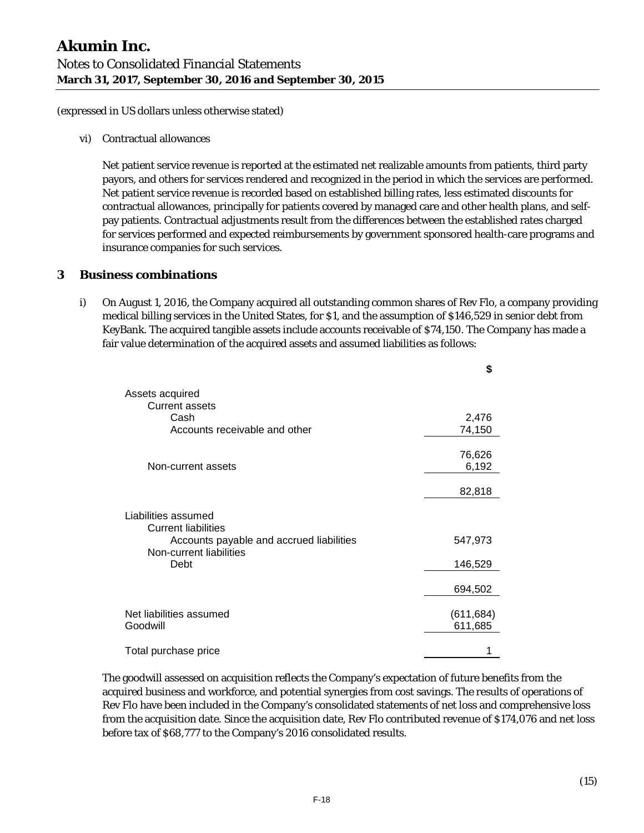vi) Contractual allowances

Net patient service revenue is reported at the estimated net realizable amounts from patients, third party payors, and others for services rendered and recognized in the period in which the services are performed. Net patient service revenue is recorded based on established billing rates, less estimated discounts for contractual allowances, principally for patients covered by managed care and other health plans, and selfpay patients. Contractual adjustments result from the differences between the established rates charged for services performed and expected reimbursements by government sponsored health-care programs and insurance companies for such services.

# **3 Business combinations**

i) On August 1, 2016, the Company acquired all outstanding common shares of Rev Flo, a company providing medical billing services in the United States, for \$1, and the assumption of \$146,529 in senior debt from KeyBank. The acquired tangible assets include accounts receivable of \$74,150. The Company has made a fair value determination of the acquired assets and assumed liabilities as follows:

|                                                                     | \$         |
|---------------------------------------------------------------------|------------|
| Assets acquired                                                     |            |
| <b>Current assets</b>                                               |            |
| Cash                                                                | 2,476      |
| Accounts receivable and other                                       | 74,150     |
|                                                                     | 76,626     |
| Non-current assets                                                  | 6,192      |
|                                                                     | 82,818     |
| Liabilities assumed<br><b>Current liabilities</b>                   |            |
| Accounts payable and accrued liabilities<br>Non-current liabilities | 547,973    |
| Debt                                                                | 146,529    |
|                                                                     | 694,502    |
| Net liabilities assumed                                             | (611, 684) |
| Goodwill                                                            | 611,685    |
| Total purchase price                                                |            |

The goodwill assessed on acquisition reflects the Company's expectation of future benefits from the acquired business and workforce, and potential synergies from cost savings. The results of operations of Rev Flo have been included in the Company's consolidated statements of net loss and comprehensive loss from the acquisition date. Since the acquisition date, Rev Flo contributed revenue of \$174,076 and net loss before tax of \$68,777 to the Company's 2016 consolidated results.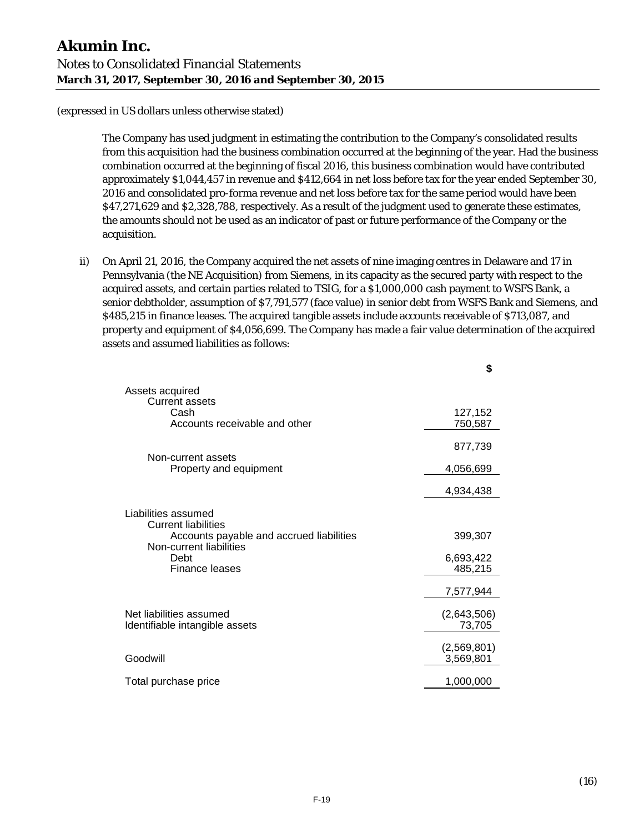The Company has used judgment in estimating the contribution to the Company's consolidated results from this acquisition had the business combination occurred at the beginning of the year. Had the business combination occurred at the beginning of fiscal 2016, this business combination would have contributed approximately \$1,044,457 in revenue and \$412,664 in net loss before tax for the year ended September 30, 2016 and consolidated pro-forma revenue and net loss before tax for the same period would have been \$47,271,629 and \$2,328,788, respectively. As a result of the judgment used to generate these estimates, the amounts should not be used as an indicator of past or future performance of the Company or the acquisition.

ii) On April 21, 2016, the Company acquired the net assets of nine imaging centres in Delaware and 17 in Pennsylvania (the NE Acquisition) from Siemens, in its capacity as the secured party with respect to the acquired assets, and certain parties related to TSIG, for a \$1,000,000 cash payment to WSFS Bank, a senior debtholder, assumption of \$7,791,577 (face value) in senior debt from WSFS Bank and Siemens, and \$485,215 in finance leases. The acquired tangible assets include accounts receivable of \$713,087, and property and equipment of \$4,056,699. The Company has made a fair value determination of the acquired assets and assumed liabilities as follows:

|                                                                     | \$                       |
|---------------------------------------------------------------------|--------------------------|
| Assets acquired<br><b>Current assets</b>                            |                          |
| Cash<br>Accounts receivable and other                               | 127,152<br>750,587       |
|                                                                     | 877,739                  |
| Non-current assets<br>Property and equipment                        | 4,056,699                |
|                                                                     | 4,934,438                |
| Liabilities assumed<br><b>Current liabilities</b>                   |                          |
| Accounts payable and accrued liabilities<br>Non-current liabilities | 399,307                  |
| Debt<br>Finance leases                                              | 6,693,422<br>485,215     |
|                                                                     | 7,577,944                |
| Net liabilities assumed<br>Identifiable intangible assets           | (2,643,506)<br>73,705    |
| Goodwill                                                            | (2,569,801)<br>3,569,801 |
| Total purchase price                                                | 1,000,000                |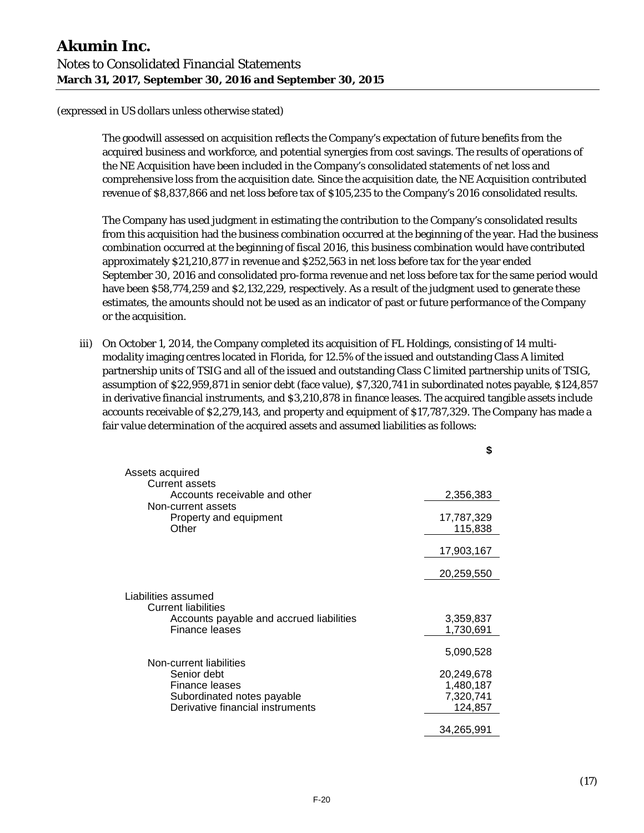The goodwill assessed on acquisition reflects the Company's expectation of future benefits from the acquired business and workforce, and potential synergies from cost savings. The results of operations of the NE Acquisition have been included in the Company's consolidated statements of net loss and comprehensive loss from the acquisition date. Since the acquisition date, the NE Acquisition contributed revenue of \$8,837,866 and net loss before tax of \$105,235 to the Company's 2016 consolidated results.

The Company has used judgment in estimating the contribution to the Company's consolidated results from this acquisition had the business combination occurred at the beginning of the year. Had the business combination occurred at the beginning of fiscal 2016, this business combination would have contributed approximately \$21,210,877 in revenue and \$252,563 in net loss before tax for the year ended September 30, 2016 and consolidated pro-forma revenue and net loss before tax for the same period would have been \$58,774,259 and \$2,132,229, respectively. As a result of the judgment used to generate these estimates, the amounts should not be used as an indicator of past or future performance of the Company or the acquisition.

iii) On October 1, 2014, the Company completed its acquisition of FL Holdings, consisting of 14 multimodality imaging centres located in Florida, for 12.5% of the issued and outstanding Class A limited partnership units of TSIG and all of the issued and outstanding Class C limited partnership units of TSIG, assumption of \$22,959,871 in senior debt (face value), \$7,320,741 in subordinated notes payable, \$124,857 in derivative financial instruments, and \$3,210,878 in finance leases. The acquired tangible assets include accounts receivable of \$2,279,143, and property and equipment of \$17,787,329. The Company has made a fair value determination of the acquired assets and assumed liabilities as follows:

**\$**

|                                                                                                                                   | J                                               |
|-----------------------------------------------------------------------------------------------------------------------------------|-------------------------------------------------|
| Assets acquired                                                                                                                   |                                                 |
| <b>Current assets</b><br>Accounts receivable and other                                                                            | 2,356,383                                       |
| Non-current assets<br>Property and equipment<br>Other                                                                             | 17,787,329<br>115,838                           |
|                                                                                                                                   | 17,903,167                                      |
|                                                                                                                                   | 20,259,550                                      |
| Liabilities assumed<br><b>Current liabilities</b>                                                                                 |                                                 |
| Accounts payable and accrued liabilities<br>Finance leases                                                                        | 3,359,837<br>1,730,691                          |
|                                                                                                                                   | 5,090,528                                       |
| Non-current liabilities<br>Senior debt<br><b>Finance leases</b><br>Subordinated notes payable<br>Derivative financial instruments | 20,249,678<br>1,480,187<br>7,320,741<br>124,857 |
|                                                                                                                                   | 34,265,991                                      |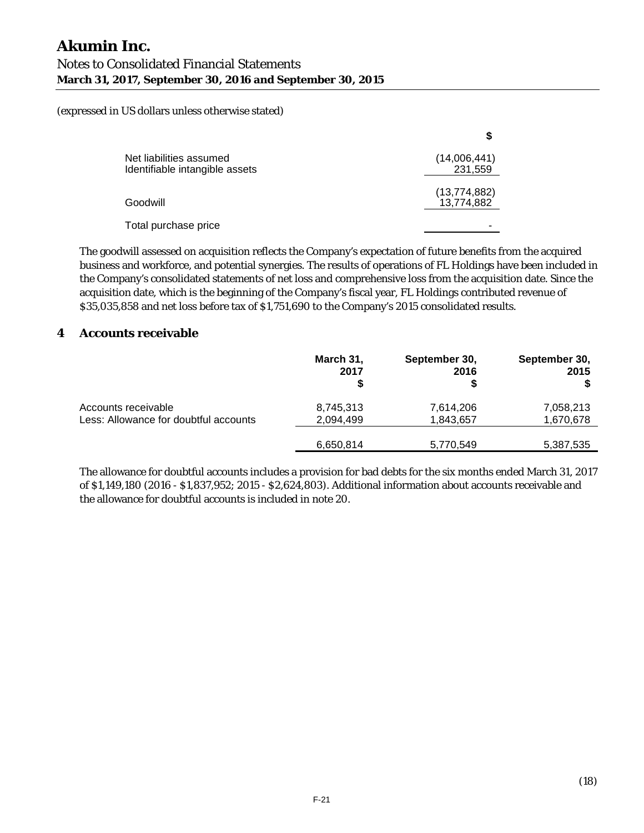| Net liabilities assumed<br>Identifiable intangible assets | (14,006,441)<br>231,559      |
|-----------------------------------------------------------|------------------------------|
| Goodwill                                                  | (13, 774, 882)<br>13,774,882 |
| Total purchase price                                      |                              |

The goodwill assessed on acquisition reflects the Company's expectation of future benefits from the acquired business and workforce, and potential synergies. The results of operations of FL Holdings have been included in the Company's consolidated statements of net loss and comprehensive loss from the acquisition date. Since the acquisition date, which is the beginning of the Company's fiscal year, FL Holdings contributed revenue of \$35,035,858 and net loss before tax of \$1,751,690 to the Company's 2015 consolidated results.

# **4 Accounts receivable**

|                                       | March 31,<br>2017<br>S | September 30,<br>2016 | September 30,<br>2015 |
|---------------------------------------|------------------------|-----------------------|-----------------------|
| Accounts receivable                   | 8,745,313              | 7,614,206             | 7,058,213             |
| Less: Allowance for doubtful accounts | 2,094,499              | 1,843,657             | 1,670,678             |
|                                       | 6,650,814              | 5,770,549             | 5,387,535             |

The allowance for doubtful accounts includes a provision for bad debts for the six months ended March 31, 2017 of \$1,149,180 (2016 - \$1,837,952; 2015 - \$2,624,803). Additional information about accounts receivable and the allowance for doubtful accounts is included in note 20.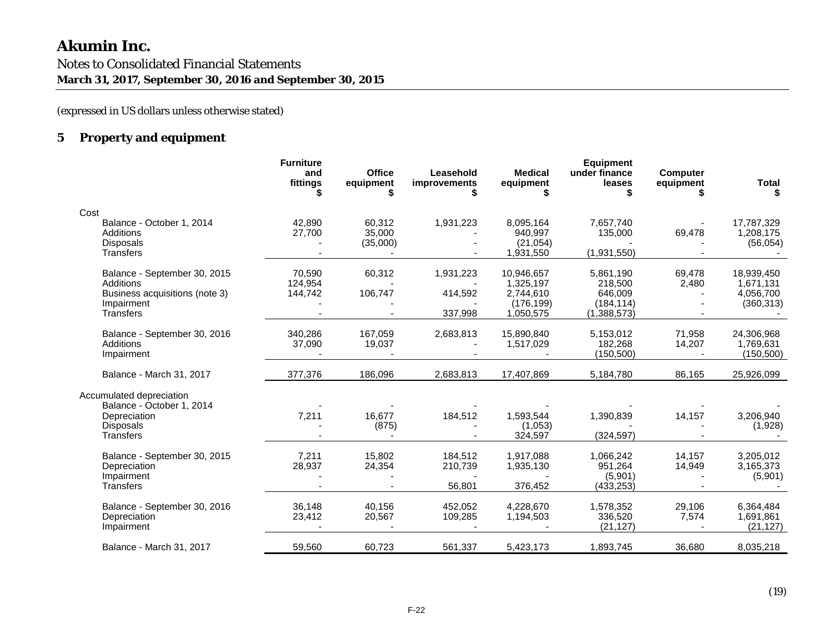(expressed in US dollars unless otherwise stated)

# **5 Property and equipment**

|                                                                                                               | <b>Furniture</b><br>and<br>fittings | <b>Office</b><br>equipment   | Leasehold<br>improvements    | <b>Medical</b><br>equipment                    | <b>Equipment</b><br>under finance<br>leases   | <b>Computer</b><br>equipment | Total                                 |
|---------------------------------------------------------------------------------------------------------------|-------------------------------------|------------------------------|------------------------------|------------------------------------------------|-----------------------------------------------|------------------------------|---------------------------------------|
| Cost                                                                                                          |                                     |                              |                              |                                                |                                               |                              |                                       |
| Balance - October 1, 2014<br>Additions<br>Disposals<br><b>Transfers</b>                                       | 42,890<br>27,700                    | 60,312<br>35,000<br>(35,000) | 1,931,223                    | 8,095,164<br>940,997<br>(21, 054)<br>1,931,550 | 7,657,740<br>135,000<br>(1,931,550)           | 69,478                       | 17,787,329<br>1,208,175<br>(56, 054)  |
| Balance - September 30, 2015<br><b>Additions</b><br>Business acquisitions (note 3)                            | 70,590<br>124,954<br>144,742        | 60,312<br>106,747            | 1,931,223<br>414,592         | 10,946,657<br>1,325,197<br>2,744,610           | 5,861,190<br>218,500<br>646,009               | 69,478<br>2,480              | 18,939,450<br>1,671,131<br>4,056,700  |
| Impairment<br><b>Transfers</b>                                                                                |                                     |                              | 337,998                      | (176, 199)<br>1,050,575                        | (184, 114)<br>(1,388,573)                     |                              | (360, 313)                            |
| Balance - September 30, 2016<br><b>Additions</b><br>Impairment                                                | 340,286<br>37,090                   | 167,059<br>19,037            | 2,683,813                    | 15,890,840<br>1,517,029                        | 5,153,012<br>182,268<br>(150, 500)            | 71,958<br>14,207             | 24,306,968<br>1,769,631<br>(150, 500) |
| Balance - March 31, 2017                                                                                      | 377,376                             | 186,096                      | 2,683,813                    | 17,407,869                                     | 5,184,780                                     | 86,165                       | 25,926,099                            |
| Accumulated depreciation<br>Balance - October 1, 2014<br>Depreciation<br><b>Disposals</b><br><b>Transfers</b> | 7,211                               | 16.677<br>(875)              | 184,512                      | 1,593,544<br>(1,053)<br>324,597                | 1,390,839<br>(324, 597)                       | 14,157                       | 3,206,940<br>(1,928)                  |
| Balance - September 30, 2015<br>Depreciation<br>Impairment<br><b>Transfers</b>                                | 7,211<br>28,937                     | 15,802<br>24,354             | 184,512<br>210,739<br>56,801 | 1,917,088<br>1,935,130<br>376,452              | 1,066,242<br>951,264<br>(5,901)<br>(433, 253) | 14,157<br>14,949             | 3,205,012<br>3,165,373<br>(5,901)     |
| Balance - September 30, 2016<br>Depreciation<br>Impairment                                                    | 36,148<br>23,412                    | 40,156<br>20,567             | 452,052<br>109,285           | 4,228,670<br>1,194,503                         | 1,578,352<br>336,520<br>(21, 127)             | 29,106<br>7,574              | 6,364,484<br>1,691,861<br>(21, 127)   |
| Balance - March 31, 2017                                                                                      | 59,560                              | 60,723                       | 561,337                      | 5,423,173                                      | 1,893,745                                     | 36,680                       | 8,035,218                             |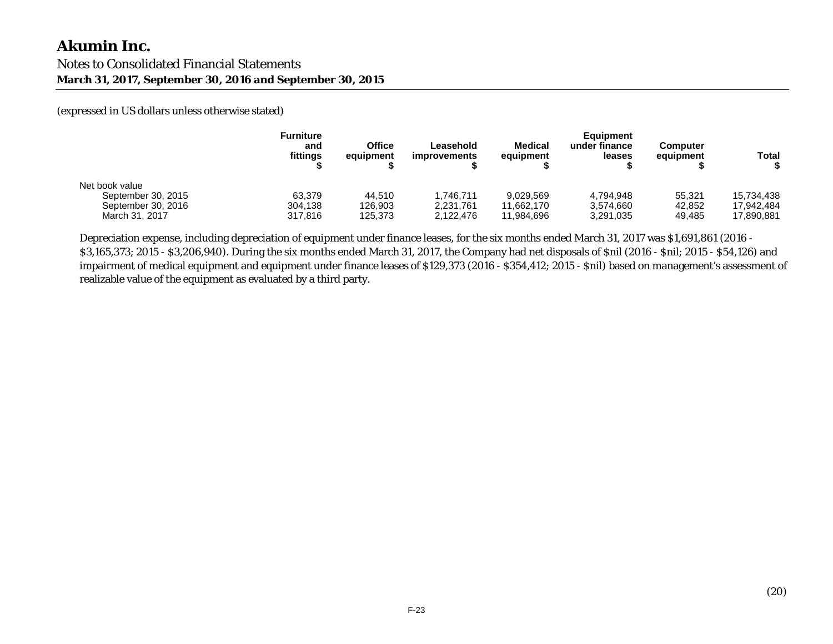(expressed in US dollars unless otherwise stated)

|                    | Furniture<br>and<br>fittings | <b>Office</b><br>equipment | Leasehold<br><i>improvements</i> | <b>Medical</b><br>equipment | <b>Equipment</b><br>under finance<br>leases | <b>Computer</b><br>equipment | Total      |
|--------------------|------------------------------|----------------------------|----------------------------------|-----------------------------|---------------------------------------------|------------------------------|------------|
| Net book value     |                              |                            |                                  |                             |                                             |                              |            |
| September 30, 2015 | 63.379                       | 44.510                     | .746.711                         | 9.029.569                   | 4.794.948                                   | 55.321                       | 15.734.438 |
| September 30, 2016 | 304.138                      | 126,903                    | 2,231,761                        | 11.662.170                  | 3.574.660                                   | 42,852                       | 17.942.484 |
| March 31, 2017     | 317.816                      | 125.373                    | 2.122.476                        | 11.984.696                  | 3,291,035                                   | 49.485                       | 17.890.881 |

Depreciation expense, including depreciation of equipment under finance leases, for the six months ended March 31, 2017 was \$1,691,861 (2016 - \$3,165,373; 2015 - \$3,206,940). During the six months ended March 31, 2017, the Company had net disposals of \$nil (2016 - \$nil; 2015 - \$54,126) and impairment of medical equipment and equipment under finance leases of \$129,373 (2016 - \$354,412; 2015 - \$nil) based on management's assessment of realizable value of the equipment as evaluated by a third party.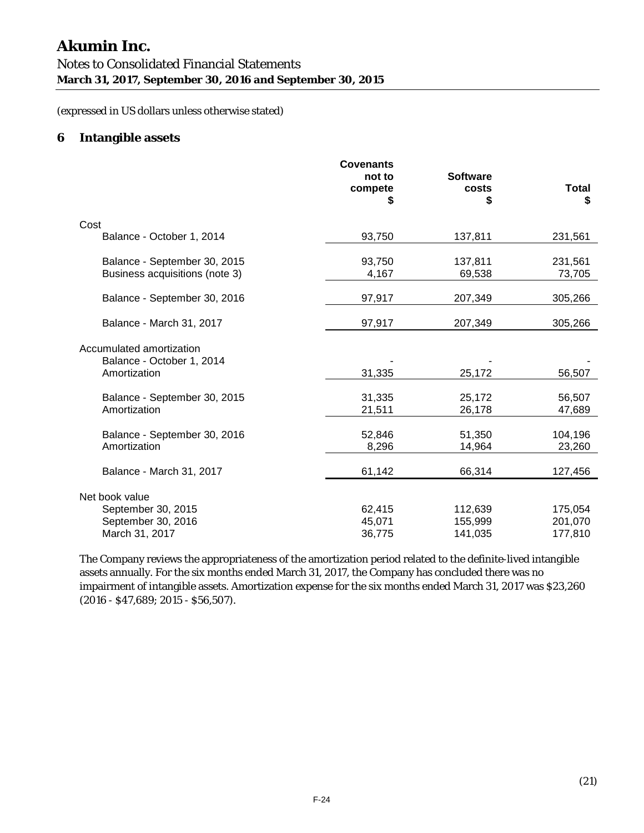# **Akumin Inc.**  Notes to Consolidated Financial Statements **March 31, 2017, September 30, 2016 and September 30, 2015**

(expressed in US dollars unless otherwise stated)

# **6 Intangible assets**

|                                                                       | <b>Covenants</b><br>not to<br>compete | <b>Software</b><br>costs | Total              |
|-----------------------------------------------------------------------|---------------------------------------|--------------------------|--------------------|
|                                                                       | S                                     | \$                       | \$                 |
| Cost                                                                  |                                       |                          |                    |
| Balance - October 1, 2014                                             | 93,750                                | 137,811                  | 231,561            |
| Balance - September 30, 2015                                          | 93,750                                | 137,811                  | 231,561            |
| Business acquisitions (note 3)                                        | 4,167                                 | 69,538                   | 73,705             |
| Balance - September 30, 2016                                          | 97,917                                | 207,349                  | 305,266            |
| Balance - March 31, 2017                                              | 97,917                                | 207,349                  | 305,266            |
| Accumulated amortization<br>Balance - October 1, 2014<br>Amortization | 31,335                                | 25,172                   | 56,507             |
| Balance - September 30, 2015<br>Amortization                          | 31,335<br>21,511                      | 25,172<br>26,178         | 56,507<br>47,689   |
| Balance - September 30, 2016<br>Amortization                          | 52,846<br>8,296                       | 51,350<br>14,964         | 104,196<br>23,260  |
| Balance - March 31, 2017                                              | 61,142                                | 66,314                   | 127,456            |
| Net book value                                                        |                                       |                          |                    |
| September 30, 2015                                                    | 62,415                                | 112,639                  | 175,054            |
| September 30, 2016<br>March 31, 2017                                  | 45,071<br>36,775                      | 155,999<br>141,035       | 201,070<br>177,810 |

The Company reviews the appropriateness of the amortization period related to the definite-lived intangible assets annually. For the six months ended March 31, 2017, the Company has concluded there was no impairment of intangible assets. Amortization expense for the six months ended March 31, 2017 was \$23,260 (2016 - \$47,689; 2015 - \$56,507).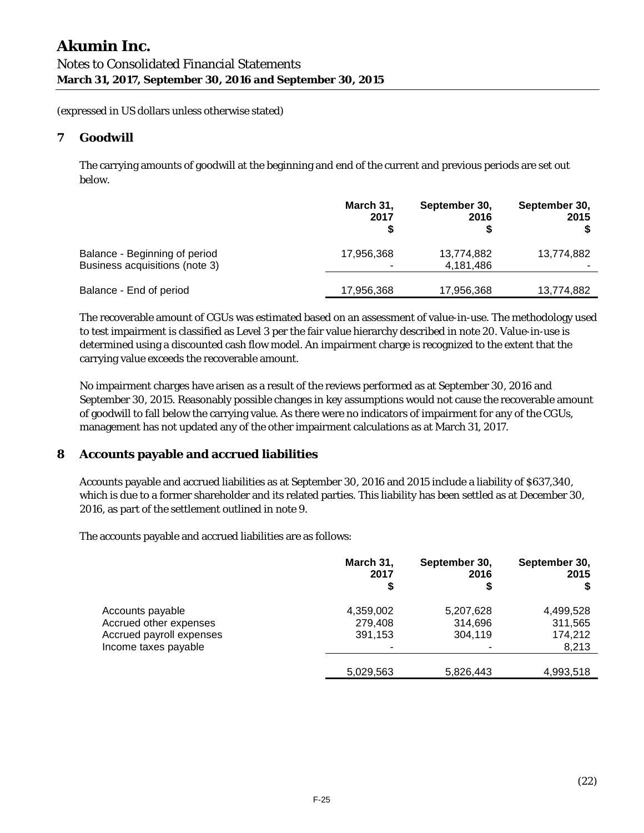# **7 Goodwill**

The carrying amounts of goodwill at the beginning and end of the current and previous periods are set out below.

|                                | March 31,  | September 30, | September 30, |
|--------------------------------|------------|---------------|---------------|
|                                | 2017       | 2016          | 2015          |
| Balance - Beginning of period  | 17,956,368 | 13,774,882    | 13,774,882    |
| Business acquisitions (note 3) |            | 4,181,486     |               |
| Balance - End of period        | 17,956,368 | 17,956,368    | 13,774,882    |

The recoverable amount of CGUs was estimated based on an assessment of value-in-use. The methodology used to test impairment is classified as Level 3 per the fair value hierarchy described in note 20. Value-in-use is determined using a discounted cash flow model. An impairment charge is recognized to the extent that the carrying value exceeds the recoverable amount.

No impairment charges have arisen as a result of the reviews performed as at September 30, 2016 and September 30, 2015. Reasonably possible changes in key assumptions would not cause the recoverable amount of goodwill to fall below the carrying value. As there were no indicators of impairment for any of the CGUs, management has not updated any of the other impairment calculations as at March 31, 2017.

# **8 Accounts payable and accrued liabilities**

Accounts payable and accrued liabilities as at September 30, 2016 and 2015 include a liability of \$637,340, which is due to a former shareholder and its related parties. This liability has been settled as at December 30, 2016, as part of the settlement outlined in note 9.

The accounts payable and accrued liabilities are as follows:

|                                                                                                | March 31,<br>2017<br>S          | September 30,<br>2016<br>\$     | September 30,<br>2015                    |
|------------------------------------------------------------------------------------------------|---------------------------------|---------------------------------|------------------------------------------|
| Accounts payable<br>Accrued other expenses<br>Accrued payroll expenses<br>Income taxes payable | 4,359,002<br>279,408<br>391,153 | 5,207,628<br>314,696<br>304,119 | 4,499,528<br>311,565<br>174,212<br>8,213 |
|                                                                                                | 5,029,563                       | 5,826,443                       | 4,993,518                                |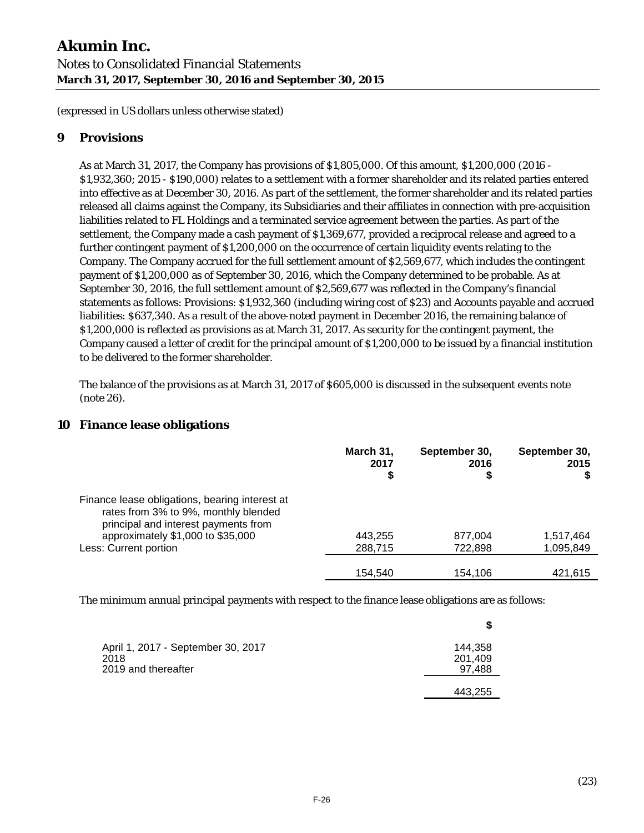# **9 Provisions**

As at March 31, 2017, the Company has provisions of \$1,805,000. Of this amount, \$1,200,000 (2016 - \$1,932,360; 2015 - \$190,000) relates to a settlement with a former shareholder and its related parties entered into effective as at December 30, 2016. As part of the settlement, the former shareholder and its related parties released all claims against the Company, its Subsidiaries and their affiliates in connection with pre-acquisition liabilities related to FL Holdings and a terminated service agreement between the parties. As part of the settlement, the Company made a cash payment of \$1,369,677, provided a reciprocal release and agreed to a further contingent payment of \$1,200,000 on the occurrence of certain liquidity events relating to the Company. The Company accrued for the full settlement amount of \$2,569,677, which includes the contingent payment of \$1,200,000 as of September 30, 2016, which the Company determined to be probable. As at September 30, 2016, the full settlement amount of \$2,569,677 was reflected in the Company's financial statements as follows: Provisions: \$1,932,360 (including wiring cost of \$23) and Accounts payable and accrued liabilities: \$637,340. As a result of the above-noted payment in December 2016, the remaining balance of \$1,200,000 is reflected as provisions as at March 31, 2017. As security for the contingent payment, the Company caused a letter of credit for the principal amount of \$1,200,000 to be issued by a financial institution to be delivered to the former shareholder.

The balance of the provisions as at March 31, 2017 of \$605,000 is discussed in the subsequent events note (note 26).

# **10 Finance lease obligations**

|                                                                                                                                | March 31,<br>2017<br>S | September 30,<br>2016 | September 30,<br>2015 |
|--------------------------------------------------------------------------------------------------------------------------------|------------------------|-----------------------|-----------------------|
| Finance lease obligations, bearing interest at<br>rates from 3% to 9%, monthly blended<br>principal and interest payments from |                        |                       |                       |
| approximately \$1,000 to \$35,000                                                                                              | 443,255                | 877,004               | 1,517,464             |
| Less: Current portion                                                                                                          | 288,715                | 722,898               | 1,095,849             |
|                                                                                                                                | 154.540                | 154.106               | 421.615               |

The minimum annual principal payments with respect to the finance lease obligations are as follows:

|                                                                   | S                            |
|-------------------------------------------------------------------|------------------------------|
| April 1, 2017 - September 30, 2017<br>2018<br>2019 and thereafter | 144,358<br>201,409<br>97,488 |
|                                                                   | 443,255                      |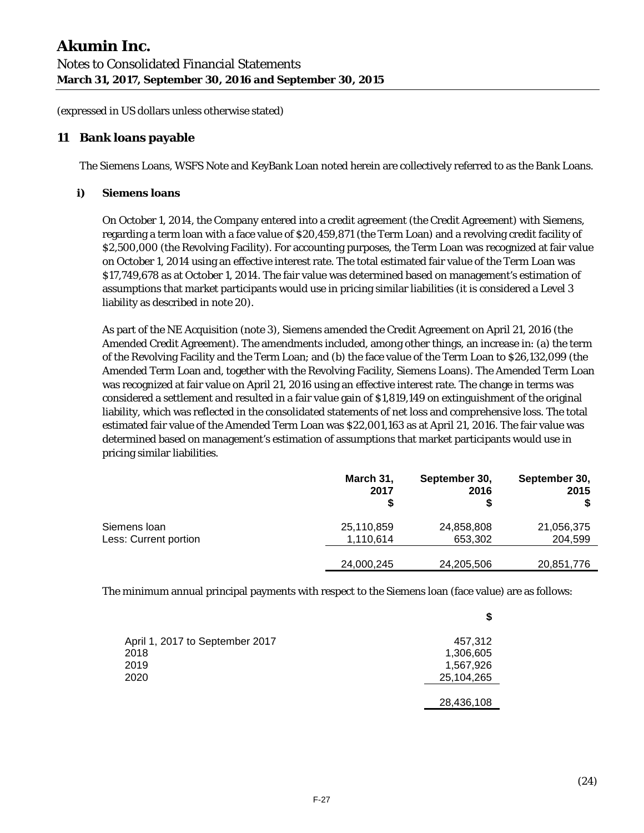# **11 Bank loans payable**

The Siemens Loans, WSFS Note and KeyBank Loan noted herein are collectively referred to as the Bank Loans.

#### **i) Siemens loans**

On October 1, 2014, the Company entered into a credit agreement (the Credit Agreement) with Siemens, regarding a term loan with a face value of \$20,459,871 (the Term Loan) and a revolving credit facility of \$2,500,000 (the Revolving Facility). For accounting purposes, the Term Loan was recognized at fair value on October 1, 2014 using an effective interest rate. The total estimated fair value of the Term Loan was \$17,749,678 as at October 1, 2014. The fair value was determined based on management's estimation of assumptions that market participants would use in pricing similar liabilities (it is considered a Level 3 liability as described in note 20).

As part of the NE Acquisition (note 3), Siemens amended the Credit Agreement on April 21, 2016 (the Amended Credit Agreement). The amendments included, among other things, an increase in: (a) the term of the Revolving Facility and the Term Loan; and (b) the face value of the Term Loan to \$26,132,099 (the Amended Term Loan and, together with the Revolving Facility, Siemens Loans). The Amended Term Loan was recognized at fair value on April 21, 2016 using an effective interest rate. The change in terms was considered a settlement and resulted in a fair value gain of \$1,819,149 on extinguishment of the original liability, which was reflected in the consolidated statements of net loss and comprehensive loss. The total estimated fair value of the Amended Term Loan was \$22,001,163 as at April 21, 2016. The fair value was determined based on management's estimation of assumptions that market participants would use in pricing similar liabilities.

|                       | March 31,<br>2017 | September 30,<br>2016 | September 30,<br>2015 |
|-----------------------|-------------------|-----------------------|-----------------------|
| Siemens Ioan          | 25,110,859        | 24,858,808            | 21,056,375            |
| Less: Current portion | 1,110,614         | 653,302               | 204,599               |
|                       | 24,000,245        | 24,205,506            | 20,851,776            |

The minimum annual principal payments with respect to the Siemens loan (face value) are as follows:

|                                 | \$         |
|---------------------------------|------------|
| April 1, 2017 to September 2017 | 457,312    |
| 2018                            | 1,306,605  |
| 2019                            | 1,567,926  |
| 2020                            | 25,104,265 |
|                                 |            |
|                                 | 28,436,108 |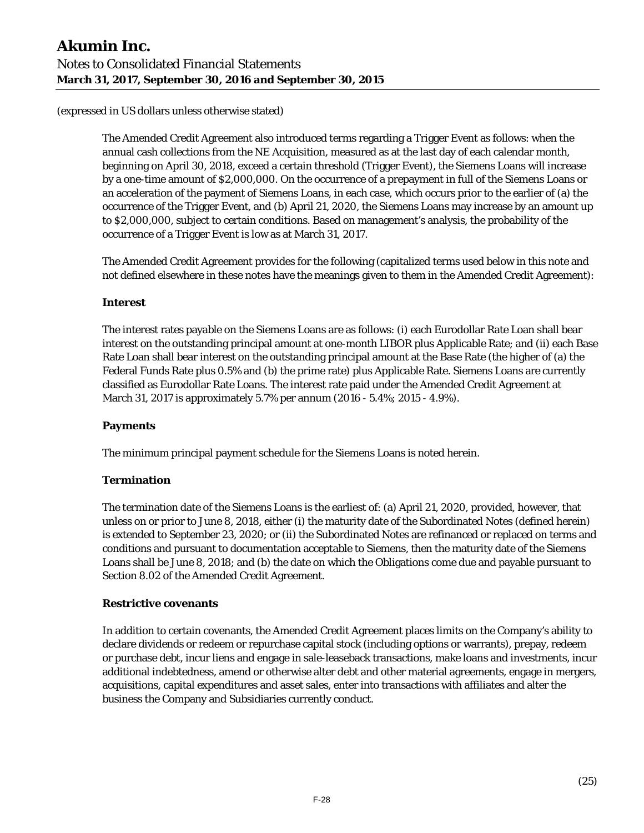The Amended Credit Agreement also introduced terms regarding a Trigger Event as follows: when the annual cash collections from the NE Acquisition, measured as at the last day of each calendar month, beginning on April 30, 2018, exceed a certain threshold (Trigger Event), the Siemens Loans will increase by a one-time amount of \$2,000,000. On the occurrence of a prepayment in full of the Siemens Loans or an acceleration of the payment of Siemens Loans, in each case, which occurs prior to the earlier of (a) the occurrence of the Trigger Event, and (b) April 21, 2020, the Siemens Loans may increase by an amount up to \$2,000,000, subject to certain conditions. Based on management's analysis, the probability of the occurrence of a Trigger Event is low as at March 31, 2017.

The Amended Credit Agreement provides for the following (capitalized terms used below in this note and not defined elsewhere in these notes have the meanings given to them in the Amended Credit Agreement):

# **Interest**

The interest rates payable on the Siemens Loans are as follows: (i) each Eurodollar Rate Loan shall bear interest on the outstanding principal amount at one-month LIBOR plus Applicable Rate; and (ii) each Base Rate Loan shall bear interest on the outstanding principal amount at the Base Rate (the higher of (a) the Federal Funds Rate plus 0.5% and (b) the prime rate) plus Applicable Rate. Siemens Loans are currently classified as Eurodollar Rate Loans. The interest rate paid under the Amended Credit Agreement at March 31, 2017 is approximately 5.7% per annum (2016 - 5.4%; 2015 - 4.9%).

# **Payments**

The minimum principal payment schedule for the Siemens Loans is noted herein.

#### **Termination**

The termination date of the Siemens Loans is the earliest of: (a) April 21, 2020, provided, however, that unless on or prior to June 8, 2018, either (i) the maturity date of the Subordinated Notes (defined herein) is extended to September 23, 2020; or (ii) the Subordinated Notes are refinanced or replaced on terms and conditions and pursuant to documentation acceptable to Siemens, then the maturity date of the Siemens Loans shall be June 8, 2018; and (b) the date on which the Obligations come due and payable pursuant to Section 8.02 of the Amended Credit Agreement.

#### **Restrictive covenants**

In addition to certain covenants, the Amended Credit Agreement places limits on the Company's ability to declare dividends or redeem or repurchase capital stock (including options or warrants), prepay, redeem or purchase debt, incur liens and engage in sale-leaseback transactions, make loans and investments, incur additional indebtedness, amend or otherwise alter debt and other material agreements, engage in mergers, acquisitions, capital expenditures and asset sales, enter into transactions with affiliates and alter the business the Company and Subsidiaries currently conduct.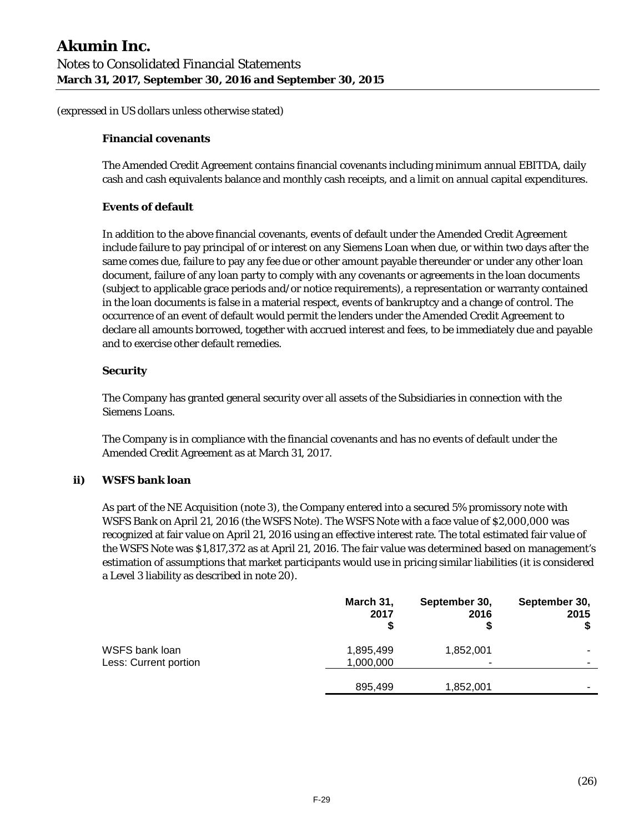#### **Financial covenants**

The Amended Credit Agreement contains financial covenants including minimum annual EBITDA, daily cash and cash equivalents balance and monthly cash receipts, and a limit on annual capital expenditures.

#### **Events of default**

In addition to the above financial covenants, events of default under the Amended Credit Agreement include failure to pay principal of or interest on any Siemens Loan when due, or within two days after the same comes due, failure to pay any fee due or other amount payable thereunder or under any other loan document, failure of any loan party to comply with any covenants or agreements in the loan documents (subject to applicable grace periods and/or notice requirements), a representation or warranty contained in the loan documents is false in a material respect, events of bankruptcy and a change of control. The occurrence of an event of default would permit the lenders under the Amended Credit Agreement to declare all amounts borrowed, together with accrued interest and fees, to be immediately due and payable and to exercise other default remedies.

#### **Security**

The Company has granted general security over all assets of the Subsidiaries in connection with the Siemens Loans.

The Company is in compliance with the financial covenants and has no events of default under the Amended Credit Agreement as at March 31, 2017.

#### **ii) WSFS bank loan**

As part of the NE Acquisition (note 3), the Company entered into a secured 5% promissory note with WSFS Bank on April 21, 2016 (the WSFS Note). The WSFS Note with a face value of \$2,000,000 was recognized at fair value on April 21, 2016 using an effective interest rate. The total estimated fair value of the WSFS Note was \$1,817,372 as at April 21, 2016. The fair value was determined based on management's estimation of assumptions that market participants would use in pricing similar liabilities (it is considered a Level 3 liability as described in note 20).

|                       | March 31,<br>2017<br>S | September 30,<br>2016 | September 30,<br>2015<br>\$ |
|-----------------------|------------------------|-----------------------|-----------------------------|
| WSFS bank loan        | 1,895,499              | 1,852,001             |                             |
| Less: Current portion | 1,000,000              | -                     |                             |
|                       | 895,499                | 1,852,001             |                             |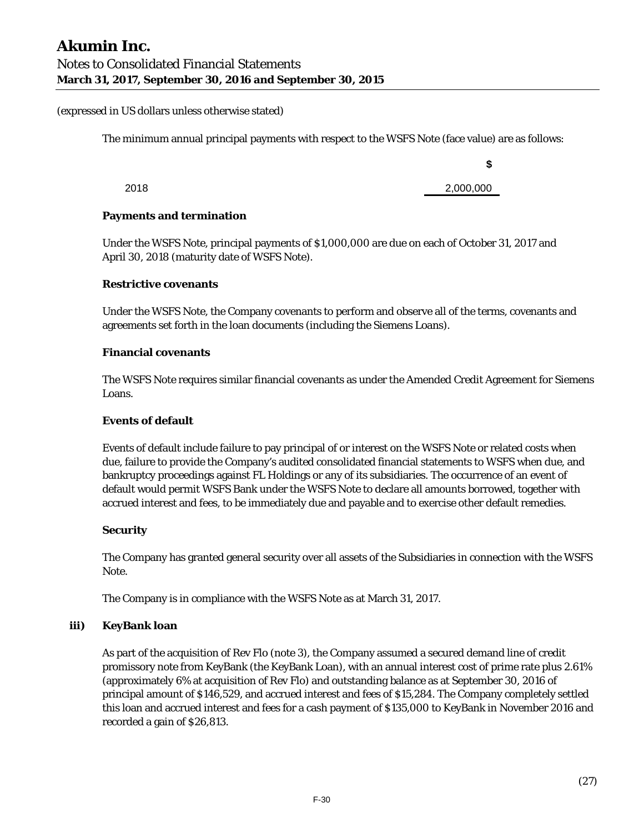The minimum annual principal payments with respect to the WSFS Note (face value) are as follows:

2018 2,000,000

**\$** 

#### **Payments and termination**

Under the WSFS Note, principal payments of \$1,000,000 are due on each of October 31, 2017 and April 30, 2018 (maturity date of WSFS Note).

#### **Restrictive covenants**

Under the WSFS Note, the Company covenants to perform and observe all of the terms, covenants and agreements set forth in the loan documents (including the Siemens Loans).

#### **Financial covenants**

The WSFS Note requires similar financial covenants as under the Amended Credit Agreement for Siemens Loans.

#### **Events of default**

Events of default include failure to pay principal of or interest on the WSFS Note or related costs when due, failure to provide the Company's audited consolidated financial statements to WSFS when due, and bankruptcy proceedings against FL Holdings or any of its subsidiaries. The occurrence of an event of default would permit WSFS Bank under the WSFS Note to declare all amounts borrowed, together with accrued interest and fees, to be immediately due and payable and to exercise other default remedies.

#### **Security**

The Company has granted general security over all assets of the Subsidiaries in connection with the WSFS Note.

The Company is in compliance with the WSFS Note as at March 31, 2017.

#### **iii) KeyBank loan**

As part of the acquisition of Rev Flo (note 3), the Company assumed a secured demand line of credit promissory note from KeyBank (the KeyBank Loan), with an annual interest cost of prime rate plus 2.61% (approximately 6% at acquisition of Rev Flo) and outstanding balance as at September 30, 2016 of principal amount of \$146,529, and accrued interest and fees of \$15,284. The Company completely settled this loan and accrued interest and fees for a cash payment of \$135,000 to KeyBank in November 2016 and recorded a gain of \$26,813.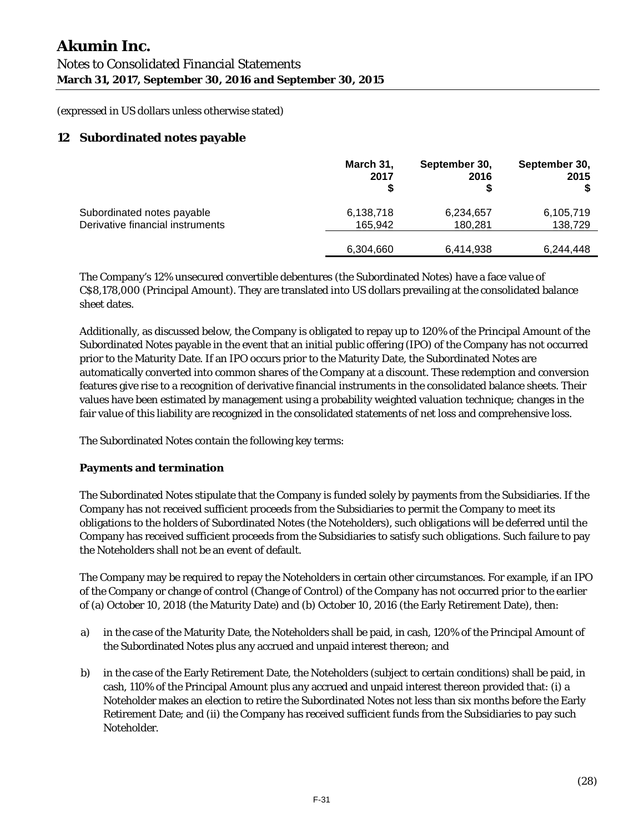# **12 Subordinated notes payable**

|                                  | March 31,<br>2017 | September 30,<br>2016 | September 30,<br>2015 |
|----------------------------------|-------------------|-----------------------|-----------------------|
| Subordinated notes payable       | 6,138,718         | 6,234,657             | 6,105,719             |
| Derivative financial instruments | 165.942           | 180.281               | 138,729               |
|                                  | 6,304,660         | 6,414,938             | 6,244,448             |

The Company's 12% unsecured convertible debentures (the Subordinated Notes) have a face value of C\$8,178,000 (Principal Amount). They are translated into US dollars prevailing at the consolidated balance sheet dates.

Additionally, as discussed below, the Company is obligated to repay up to 120% of the Principal Amount of the Subordinated Notes payable in the event that an initial public offering (IPO) of the Company has not occurred prior to the Maturity Date. If an IPO occurs prior to the Maturity Date, the Subordinated Notes are automatically converted into common shares of the Company at a discount. These redemption and conversion features give rise to a recognition of derivative financial instruments in the consolidated balance sheets. Their values have been estimated by management using a probability weighted valuation technique; changes in the fair value of this liability are recognized in the consolidated statements of net loss and comprehensive loss.

The Subordinated Notes contain the following key terms:

#### **Payments and termination**

The Subordinated Notes stipulate that the Company is funded solely by payments from the Subsidiaries. If the Company has not received sufficient proceeds from the Subsidiaries to permit the Company to meet its obligations to the holders of Subordinated Notes (the Noteholders), such obligations will be deferred until the Company has received sufficient proceeds from the Subsidiaries to satisfy such obligations. Such failure to pay the Noteholders shall not be an event of default.

The Company may be required to repay the Noteholders in certain other circumstances. For example, if an IPO of the Company or change of control (Change of Control) of the Company has not occurred prior to the earlier of (a) October 10, 2018 (the Maturity Date) and (b) October 10, 2016 (the Early Retirement Date), then:

- a) in the case of the Maturity Date, the Noteholders shall be paid, in cash, 120% of the Principal Amount of the Subordinated Notes plus any accrued and unpaid interest thereon; and
- b) in the case of the Early Retirement Date, the Noteholders (subject to certain conditions) shall be paid, in cash, 110% of the Principal Amount plus any accrued and unpaid interest thereon provided that: (i) a Noteholder makes an election to retire the Subordinated Notes not less than six months before the Early Retirement Date; and (ii) the Company has received sufficient funds from the Subsidiaries to pay such Noteholder.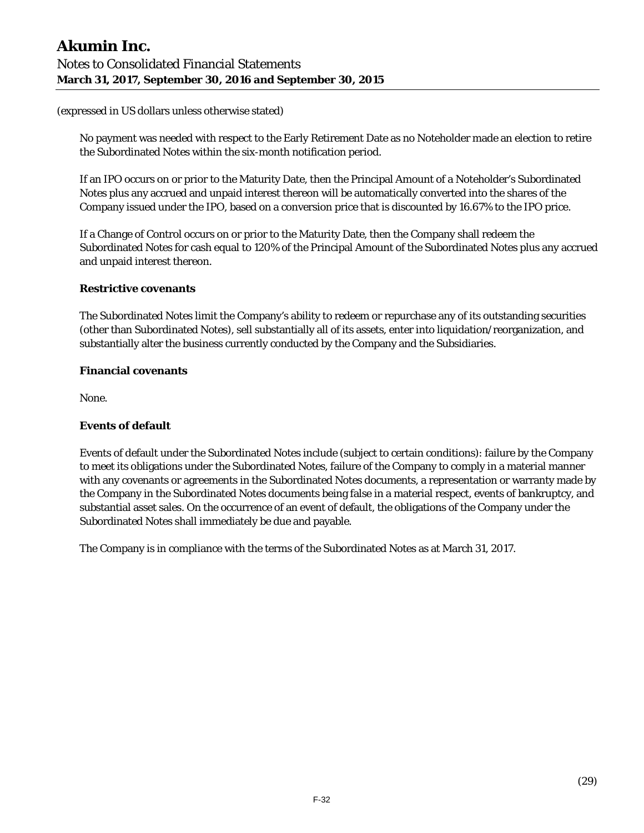No payment was needed with respect to the Early Retirement Date as no Noteholder made an election to retire the Subordinated Notes within the six-month notification period.

If an IPO occurs on or prior to the Maturity Date, then the Principal Amount of a Noteholder's Subordinated Notes plus any accrued and unpaid interest thereon will be automatically converted into the shares of the Company issued under the IPO, based on a conversion price that is discounted by 16.67% to the IPO price.

If a Change of Control occurs on or prior to the Maturity Date, then the Company shall redeem the Subordinated Notes for cash equal to 120% of the Principal Amount of the Subordinated Notes plus any accrued and unpaid interest thereon.

#### **Restrictive covenants**

The Subordinated Notes limit the Company's ability to redeem or repurchase any of its outstanding securities (other than Subordinated Notes), sell substantially all of its assets, enter into liquidation/reorganization, and substantially alter the business currently conducted by the Company and the Subsidiaries.

#### **Financial covenants**

None.

#### **Events of default**

Events of default under the Subordinated Notes include (subject to certain conditions): failure by the Company to meet its obligations under the Subordinated Notes, failure of the Company to comply in a material manner with any covenants or agreements in the Subordinated Notes documents, a representation or warranty made by the Company in the Subordinated Notes documents being false in a material respect, events of bankruptcy, and substantial asset sales. On the occurrence of an event of default, the obligations of the Company under the Subordinated Notes shall immediately be due and payable.

The Company is in compliance with the terms of the Subordinated Notes as at March 31, 2017.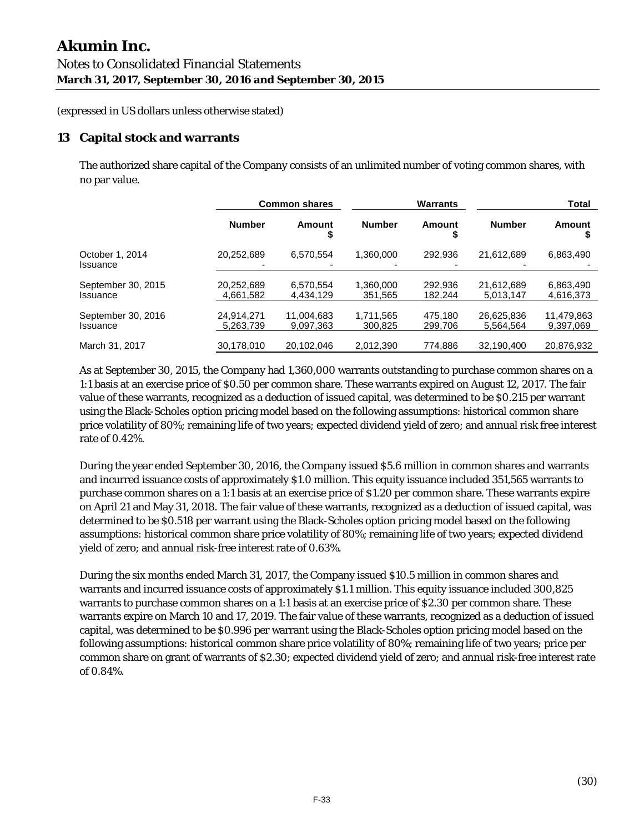# **13 Capital stock and warrants**

The authorized share capital of the Company consists of an unlimited number of voting common shares, with no par value.

|                                |                         | <b>Warrants</b><br><b>Common shares</b> |                      |                    |                         |                         |  | <b>Total</b> |
|--------------------------------|-------------------------|-----------------------------------------|----------------------|--------------------|-------------------------|-------------------------|--|--------------|
|                                | <b>Number</b>           | Amount<br>\$                            | <b>Number</b>        | Amount             | <b>Number</b>           | Amount                  |  |              |
| October 1, 2014<br>Issuance    | 20,252,689              | 6,570,554                               | 1.360.000            | 292.936            | 21,612,689              | 6,863,490               |  |              |
| September 30, 2015<br>Issuance | 20,252,689<br>4,661,582 | 6.570.554<br>4,434,129                  | 1.360.000<br>351.565 | 292,936<br>182.244 | 21,612,689<br>5.013.147 | 6,863,490<br>4,616,373  |  |              |
| September 30, 2016<br>Issuance | 24,914,271<br>5,263,739 | 11,004,683<br>9.097.363                 | 1.711.565<br>300.825 | 475,180<br>299.706 | 26,625,836<br>5.564.564 | 11,479,863<br>9.397.069 |  |              |
| March 31, 2017                 | 30.178.010              | 20.102.046                              | 2.012.390            | 774,886            | 32.190.400              | 20,876,932              |  |              |

As at September 30, 2015, the Company had 1,360,000 warrants outstanding to purchase common shares on a 1:1 basis at an exercise price of \$0.50 per common share. These warrants expired on August 12, 2017. The fair value of these warrants, recognized as a deduction of issued capital, was determined to be \$0.215 per warrant using the Black-Scholes option pricing model based on the following assumptions: historical common share price volatility of 80%; remaining life of two years; expected dividend yield of zero; and annual risk free interest rate of 0.42%.

During the year ended September 30, 2016, the Company issued \$5.6 million in common shares and warrants and incurred issuance costs of approximately \$1.0 million. This equity issuance included 351,565 warrants to purchase common shares on a 1:1 basis at an exercise price of \$1.20 per common share. These warrants expire on April 21 and May 31, 2018. The fair value of these warrants, recognized as a deduction of issued capital, was determined to be \$0.518 per warrant using the Black-Scholes option pricing model based on the following assumptions: historical common share price volatility of 80%; remaining life of two years; expected dividend yield of zero; and annual risk-free interest rate of 0.63%.

During the six months ended March 31, 2017, the Company issued \$10.5 million in common shares and warrants and incurred issuance costs of approximately \$1.1 million. This equity issuance included 300,825 warrants to purchase common shares on a 1:1 basis at an exercise price of \$2.30 per common share. These warrants expire on March 10 and 17, 2019. The fair value of these warrants, recognized as a deduction of issued capital, was determined to be \$0.996 per warrant using the Black-Scholes option pricing model based on the following assumptions: historical common share price volatility of 80%; remaining life of two years; price per common share on grant of warrants of \$2.30; expected dividend yield of zero; and annual risk-free interest rate of 0.84%.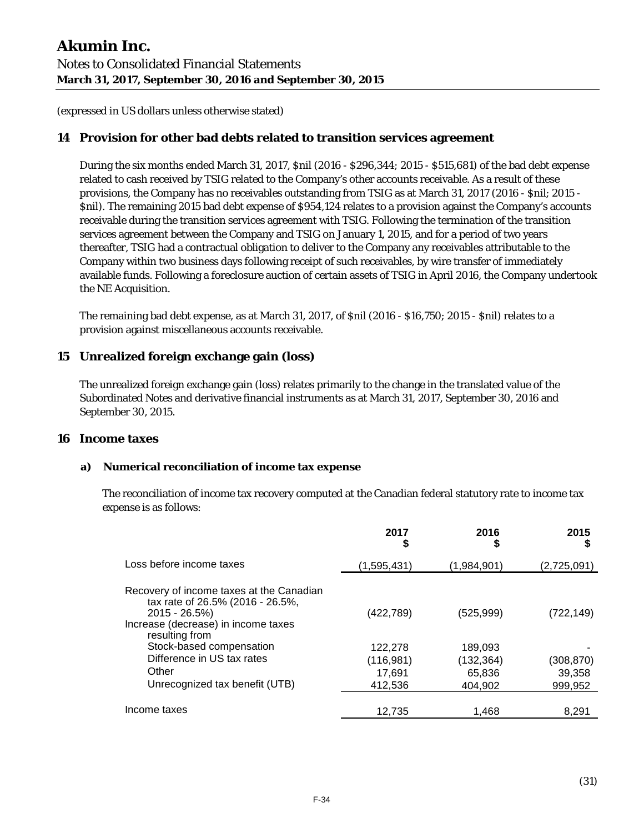# **14 Provision for other bad debts related to transition services agreement**

During the six months ended March 31, 2017, \$nil (2016 - \$296,344; 2015 - \$515,681) of the bad debt expense related to cash received by TSIG related to the Company's other accounts receivable. As a result of these provisions, the Company has no receivables outstanding from TSIG as at March 31, 2017 (2016 - \$nil; 2015 - \$nil). The remaining 2015 bad debt expense of \$954,124 relates to a provision against the Company's accounts receivable during the transition services agreement with TSIG. Following the termination of the transition services agreement between the Company and TSIG on January 1, 2015, and for a period of two years thereafter, TSIG had a contractual obligation to deliver to the Company any receivables attributable to the Company within two business days following receipt of such receivables, by wire transfer of immediately available funds. Following a foreclosure auction of certain assets of TSIG in April 2016, the Company undertook the NE Acquisition.

The remaining bad debt expense, as at March 31, 2017, of \$nil (2016 - \$16,750; 2015 - \$nil) relates to a provision against miscellaneous accounts receivable.

# **15 Unrealized foreign exchange gain (loss)**

The unrealized foreign exchange gain (loss) relates primarily to the change in the translated value of the Subordinated Notes and derivative financial instruments as at March 31, 2017, September 30, 2016 and September 30, 2015.

#### **16 Income taxes**

#### **a) Numerical reconciliation of income tax expense**

The reconciliation of income tax recovery computed at the Canadian federal statutory rate to income tax expense is as follows:

|                                                                                                                                                           | 2017<br>\$  | 2016<br>\$  | 2015        |
|-----------------------------------------------------------------------------------------------------------------------------------------------------------|-------------|-------------|-------------|
| Loss before income taxes                                                                                                                                  | (1,595,431) | (1,984,901) | (2,725,091) |
| Recovery of income taxes at the Canadian<br>tax rate of 26.5% (2016 - 26.5%,<br>$2015 - 26.5\%)$<br>Increase (decrease) in income taxes<br>resulting from | (422, 789)  | (525, 999)  | (722, 149)  |
| Stock-based compensation                                                                                                                                  | 122,278     | 189,093     |             |
| Difference in US tax rates                                                                                                                                | (116,981)   | (132, 364)  | (308, 870)  |
| Other                                                                                                                                                     | 17.691      | 65.836      | 39.358      |
| Unrecognized tax benefit (UTB)                                                                                                                            | 412,536     | 404.902     | 999.952     |
| Income taxes                                                                                                                                              | 12.735      | 1.468       | 8.291       |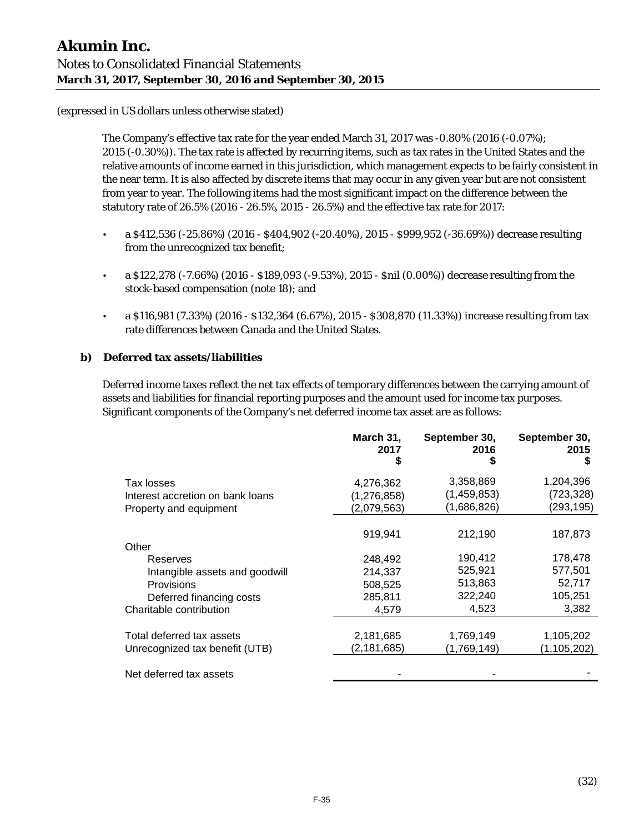The Company's effective tax rate for the year ended March 31, 2017 was -0.80% (2016 (-0.07%); 2015 (-0.30%)). The tax rate is affected by recurring items, such as tax rates in the United States and the relative amounts of income earned in this jurisdiction, which management expects to be fairly consistent in the near term. It is also affected by discrete items that may occur in any given year but are not consistent from year to year. The following items had the most significant impact on the difference between the statutory rate of 26.5% (2016 - 26.5%, 2015 - 26.5%) and the effective tax rate for 2017:

- a  $$412,536$  (-25.86%) (2016 \$404,902 (-20.40%), 2015 \$999,952 (-36.69%)) decrease resulting from the unrecognized tax benefit;
- a \$122,278 (-7.66%) (2016 \$189,093 (-9.53%), 2015 \$nil (0.00%)) decrease resulting from the stock-based compensation (note 18); and
- a \$116,981 (7.33%) (2016 \$132,364 (6.67%), 2015 \$308,870 (11.33%)) increase resulting from tax rate differences between Canada and the United States.

#### **b) Deferred tax assets/liabilities**

Deferred income taxes reflect the net tax effects of temporary differences between the carrying amount of assets and liabilities for financial reporting purposes and the amount used for income tax purposes. Significant components of the Company's net deferred income tax asset are as follows:

|                                  | March 31,<br>2017 | September 30,<br>2016<br>\$ | September 30,<br>2015<br>S |
|----------------------------------|-------------------|-----------------------------|----------------------------|
| Tax losses                       | 4,276,362         | 3,358,869                   | 1,204,396                  |
| Interest accretion on bank loans | (1, 276, 858)     | (1, 459, 853)               | (723,328)                  |
| Property and equipment           | (2,079,563)       | (1,686,826)                 | (293, 195)                 |
|                                  | 919,941           | 212,190                     | 187,873                    |
| Other                            |                   |                             |                            |
| Reserves                         | 248,492           | 190,412                     | 178,478                    |
| Intangible assets and goodwill   | 214,337           | 525,921                     | 577,501                    |
| Provisions                       | 508,525           | 513,863                     | 52,717                     |
| Deferred financing costs         | 285,811           | 322,240                     | 105,251                    |
| Charitable contribution          | 4,579             | 4,523                       | 3,382                      |
|                                  |                   |                             |                            |
| Total deferred tax assets        | 2,181,685         | 1,769,149                   | 1,105,202                  |
| Unrecognized tax benefit (UTB)   | (2, 181, 685)     | (1,769,149)                 | (1, 105, 202)              |
| Net deferred tax assets          |                   |                             |                            |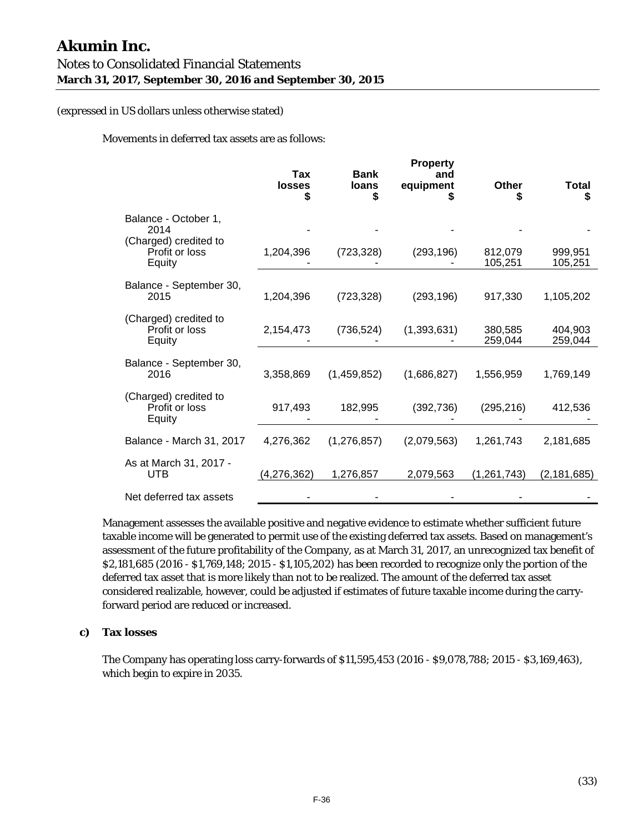Movements in deferred tax assets are as follows:

|                                                                         | Tax<br><b>losses</b><br>\$ | <b>Bank</b><br>loans<br>\$ | <b>Property</b><br>and<br>equipment | <b>Other</b><br>S  | <b>Total</b><br>\$ |
|-------------------------------------------------------------------------|----------------------------|----------------------------|-------------------------------------|--------------------|--------------------|
| Balance - October 1,<br>2014<br>(Charged) credited to<br>Profit or loss | 1,204,396                  | (723, 328)                 | (293, 196)                          | 812,079            | 999.951            |
| Equity                                                                  |                            |                            |                                     | 105,251            | 105,251            |
| Balance - September 30,<br>2015                                         | 1,204,396                  | (723, 328)                 | (293, 196)                          | 917,330            | 1,105,202          |
| (Charged) credited to<br>Profit or loss<br>Equity                       | 2,154,473                  | (736, 524)                 | (1, 393, 631)                       | 380.585<br>259,044 | 404.903<br>259,044 |
| Balance - September 30,<br>2016                                         | 3,358,869                  | (1,459,852)                | (1,686,827)                         | 1,556,959          | 1,769,149          |
| (Charged) credited to<br>Profit or loss<br>Equity                       | 917,493                    | 182,995                    | (392, 736)                          | (295, 216)         | 412,536            |
| Balance - March 31, 2017                                                | 4,276,362                  | (1,276,857)                | (2,079,563)                         | 1,261,743          | 2,181,685          |
| As at March 31, 2017 -<br>UTB                                           | (4,276,362)                | 1,276,857                  | 2,079,563                           | (1, 261, 743)      | (2, 181, 685)      |
| Net deferred tax assets                                                 |                            |                            |                                     |                    |                    |

Management assesses the available positive and negative evidence to estimate whether sufficient future taxable income will be generated to permit use of the existing deferred tax assets. Based on management's assessment of the future profitability of the Company, as at March 31, 2017, an unrecognized tax benefit of \$2,181,685 (2016 - \$1,769,148; 2015 - \$1,105,202) has been recorded to recognize only the portion of the deferred tax asset that is more likely than not to be realized. The amount of the deferred tax asset considered realizable, however, could be adjusted if estimates of future taxable income during the carryforward period are reduced or increased.

#### **c) Tax losses**

The Company has operating loss carry-forwards of \$11,595,453 (2016 - \$9,078,788; 2015 - \$3,169,463), which begin to expire in 2035.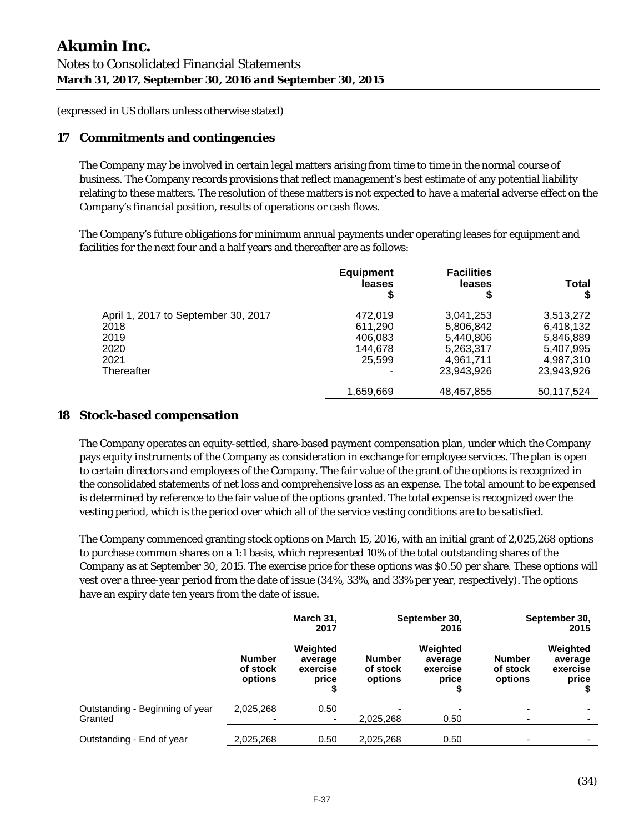# **17 Commitments and contingencies**

The Company may be involved in certain legal matters arising from time to time in the normal course of business. The Company records provisions that reflect management's best estimate of any potential liability relating to these matters. The resolution of these matters is not expected to have a material adverse effect on the Company's financial position, results of operations or cash flows.

The Company's future obligations for minimum annual payments under operating leases for equipment and facilities for the next four and a half years and thereafter are as follows:

|                                     | <b>Equipment</b><br>leases | <b>Facilities</b><br>leases<br>\$ | <b>Total</b> |
|-------------------------------------|----------------------------|-----------------------------------|--------------|
| April 1, 2017 to September 30, 2017 | 472.019                    | 3,041,253                         | 3,513,272    |
| 2018                                | 611.290                    | 5,806,842                         | 6,418,132    |
| 2019                                | 406,083                    | 5,440,806                         | 5,846,889    |
| 2020                                | 144.678                    | 5,263,317                         | 5,407,995    |
| 2021                                | 25,599                     | 4,961,711                         | 4,987,310    |
| Thereafter                          |                            | 23,943,926                        | 23,943,926   |
|                                     | 1,659,669                  | 48,457,855                        | 50,117,524   |

# **18 Stock-based compensation**

The Company operates an equity-settled, share-based payment compensation plan, under which the Company pays equity instruments of the Company as consideration in exchange for employee services. The plan is open to certain directors and employees of the Company. The fair value of the grant of the options is recognized in the consolidated statements of net loss and comprehensive loss as an expense. The total amount to be expensed is determined by reference to the fair value of the options granted. The total expense is recognized over the vesting period, which is the period over which all of the service vesting conditions are to be satisfied.

The Company commenced granting stock options on March 15, 2016, with an initial grant of 2,025,268 options to purchase common shares on a 1:1 basis, which represented 10% of the total outstanding shares of the Company as at September 30, 2015. The exercise price for these options was \$0.50 per share. These options will vest over a three-year period from the date of issue (34%, 33%, and 33% per year, respectively). The options have an expiry date ten years from the date of issue.

|                                            | March 31,<br>September 30,<br>2017<br>2016 |                                          | September 30,<br>2015                |                                          |                                      |                                          |
|--------------------------------------------|--------------------------------------------|------------------------------------------|--------------------------------------|------------------------------------------|--------------------------------------|------------------------------------------|
|                                            | <b>Number</b><br>of stock<br>options       | Weighted<br>average<br>exercise<br>price | <b>Number</b><br>of stock<br>options | Weighted<br>average<br>exercise<br>price | <b>Number</b><br>of stock<br>options | Weighted<br>average<br>exercise<br>price |
| Outstanding - Beginning of year<br>Granted | 2,025,268<br>$\overline{\phantom{0}}$      | 0.50                                     | 2,025,268                            | 0.50                                     |                                      |                                          |
| Outstanding - End of year                  | 2,025,268                                  | 0.50                                     | 2,025,268                            | 0.50                                     |                                      |                                          |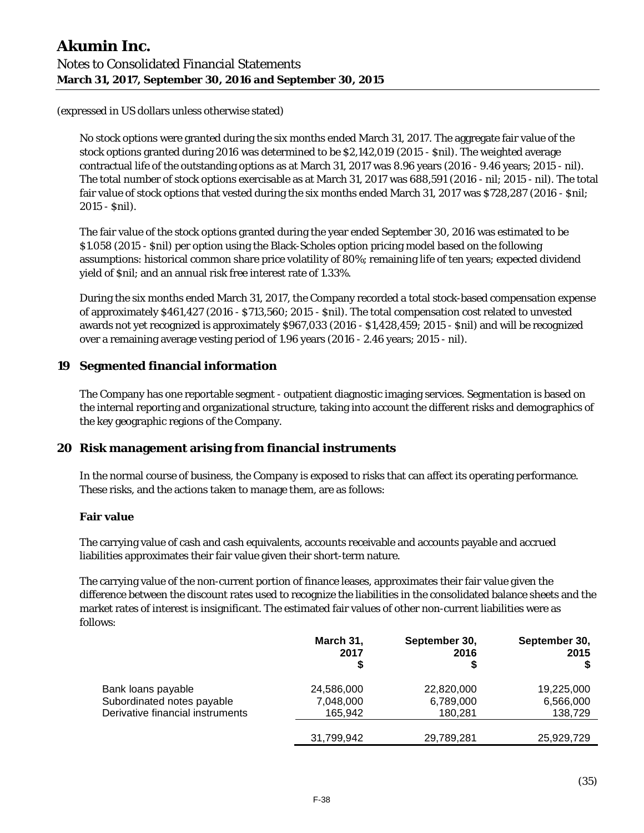No stock options were granted during the six months ended March 31, 2017. The aggregate fair value of the stock options granted during 2016 was determined to be \$2,142,019 (2015 - \$nil). The weighted average contractual life of the outstanding options as at March 31, 2017 was 8.96 years (2016 - 9.46 years; 2015 - nil). The total number of stock options exercisable as at March 31, 2017 was 688,591 (2016 - nil; 2015 - nil). The total fair value of stock options that vested during the six months ended March 31, 2017 was \$728,287 (2016 - \$nil; 2015 - \$nil).

The fair value of the stock options granted during the year ended September 30, 2016 was estimated to be \$1.058 (2015 - \$nil) per option using the Black-Scholes option pricing model based on the following assumptions: historical common share price volatility of 80%; remaining life of ten years; expected dividend yield of \$nil; and an annual risk free interest rate of 1.33%.

During the six months ended March 31, 2017, the Company recorded a total stock-based compensation expense of approximately \$461,427 (2016 - \$713,560; 2015 - \$nil). The total compensation cost related to unvested awards not yet recognized is approximately \$967,033 (2016 - \$1,428,459; 2015 - \$nil) and will be recognized over a remaining average vesting period of 1.96 years (2016 - 2.46 years; 2015 - nil).

# **19 Segmented financial information**

The Company has one reportable segment - outpatient diagnostic imaging services. Segmentation is based on the internal reporting and organizational structure, taking into account the different risks and demographics of the key geographic regions of the Company.

# **20 Risk management arising from financial instruments**

In the normal course of business, the Company is exposed to risks that can affect its operating performance. These risks, and the actions taken to manage them, are as follows:

#### **Fair value**

The carrying value of cash and cash equivalents, accounts receivable and accounts payable and accrued liabilities approximates their fair value given their short-term nature.

The carrying value of the non-current portion of finance leases, approximates their fair value given the difference between the discount rates used to recognize the liabilities in the consolidated balance sheets and the market rates of interest is insignificant. The estimated fair values of other non-current liabilities were as follows:

|                                  | March 31,<br>2017 | September 30,<br>2016<br>\$ | September 30,<br>2015 |
|----------------------------------|-------------------|-----------------------------|-----------------------|
| Bank loans payable               | 24,586,000        | 22,820,000                  | 19,225,000            |
| Subordinated notes payable       | 7,048,000         | 6,789,000                   | 6,566,000             |
| Derivative financial instruments | 165.942           | 180,281                     | 138,729               |
|                                  | 31,799,942        | 29,789,281                  | 25,929,729            |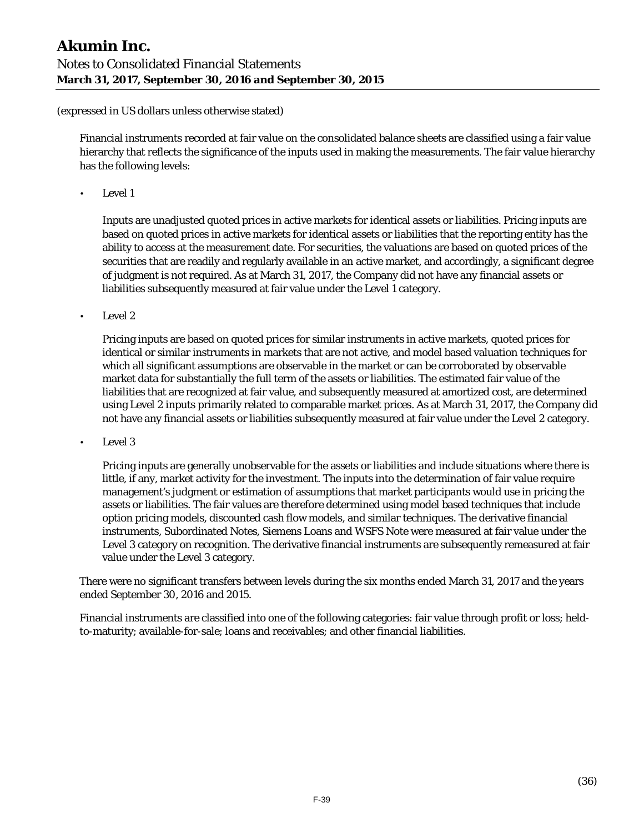Financial instruments recorded at fair value on the consolidated balance sheets are classified using a fair value hierarchy that reflects the significance of the inputs used in making the measurements. The fair value hierarchy has the following levels:

• Level 1

Inputs are unadjusted quoted prices in active markets for identical assets or liabilities. Pricing inputs are based on quoted prices in active markets for identical assets or liabilities that the reporting entity has the ability to access at the measurement date. For securities, the valuations are based on quoted prices of the securities that are readily and regularly available in an active market, and accordingly, a significant degree of judgment is not required. As at March 31, 2017, the Company did not have any financial assets or liabilities subsequently measured at fair value under the Level 1 category.

• Level 2

Pricing inputs are based on quoted prices for similar instruments in active markets, quoted prices for identical or similar instruments in markets that are not active, and model based valuation techniques for which all significant assumptions are observable in the market or can be corroborated by observable market data for substantially the full term of the assets or liabilities. The estimated fair value of the liabilities that are recognized at fair value, and subsequently measured at amortized cost, are determined using Level 2 inputs primarily related to comparable market prices. As at March 31, 2017, the Company did not have any financial assets or liabilities subsequently measured at fair value under the Level 2 category.

• Level 3

Pricing inputs are generally unobservable for the assets or liabilities and include situations where there is little, if any, market activity for the investment. The inputs into the determination of fair value require management's judgment or estimation of assumptions that market participants would use in pricing the assets or liabilities. The fair values are therefore determined using model based techniques that include option pricing models, discounted cash flow models, and similar techniques. The derivative financial instruments, Subordinated Notes, Siemens Loans and WSFS Note were measured at fair value under the Level 3 category on recognition. The derivative financial instruments are subsequently remeasured at fair value under the Level 3 category.

There were no significant transfers between levels during the six months ended March 31, 2017 and the years ended September 30, 2016 and 2015.

Financial instruments are classified into one of the following categories: fair value through profit or loss; heldto-maturity; available-for-sale; loans and receivables; and other financial liabilities.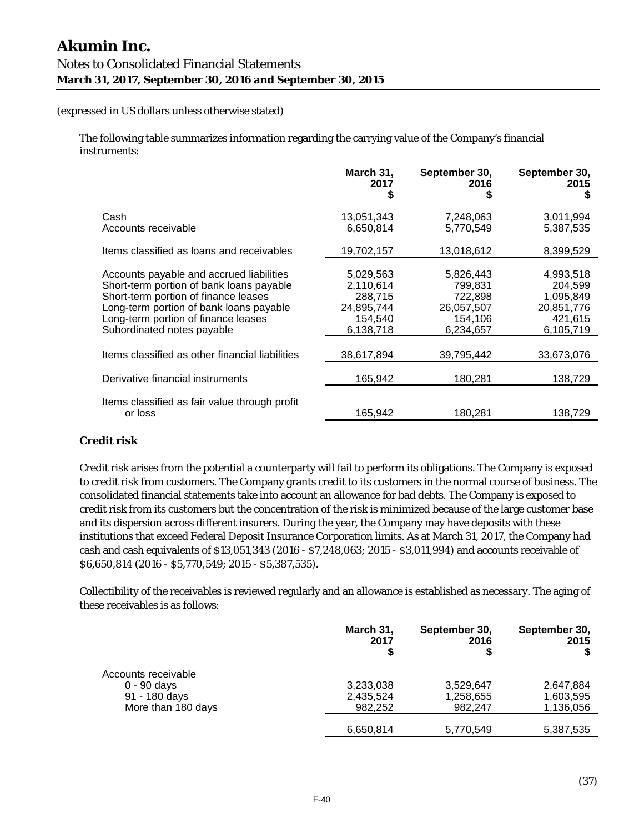The following table summarizes information regarding the carrying value of the Company's financial instruments:

|                                                                                                                                                                                                                                              | March 31,<br>2017<br>S                                                  | September 30,<br>2016<br>S                                            | September 30,<br>2015<br>S                                              |
|----------------------------------------------------------------------------------------------------------------------------------------------------------------------------------------------------------------------------------------------|-------------------------------------------------------------------------|-----------------------------------------------------------------------|-------------------------------------------------------------------------|
| Cash<br>Accounts receivable                                                                                                                                                                                                                  | 13,051,343<br>6,650,814                                                 | 7,248,063<br>5,770,549                                                | 3,011,994<br>5,387,535                                                  |
| Items classified as loans and receivables                                                                                                                                                                                                    | 19,702,157                                                              | 13,018,612                                                            | 8,399,529                                                               |
| Accounts payable and accrued liabilities<br>Short-term portion of bank loans payable<br>Short-term portion of finance leases<br>Long-term portion of bank loans payable<br>Long-term portion of finance leases<br>Subordinated notes payable | 5,029,563<br>2,110,614<br>288.715<br>24,895,744<br>154,540<br>6,138,718 | 5,826,443<br>799,831<br>722,898<br>26,057,507<br>154,106<br>6,234,657 | 4,993,518<br>204,599<br>1,095,849<br>20,851,776<br>421,615<br>6,105,719 |
| Items classified as other financial liabilities                                                                                                                                                                                              | 38,617,894                                                              | 39,795,442                                                            | 33,673,076                                                              |
| Derivative financial instruments                                                                                                                                                                                                             | 165,942                                                                 | 180,281                                                               | 138,729                                                                 |
| Items classified as fair value through profit<br>or loss                                                                                                                                                                                     | 165,942                                                                 | 180,281                                                               | 138,729                                                                 |

#### **Credit risk**

Credit risk arises from the potential a counterparty will fail to perform its obligations. The Company is exposed to credit risk from customers. The Company grants credit to its customers in the normal course of business. The consolidated financial statements take into account an allowance for bad debts. The Company is exposed to credit risk from its customers but the concentration of the risk is minimized because of the large customer base and its dispersion across different insurers. During the year, the Company may have deposits with these institutions that exceed Federal Deposit Insurance Corporation limits. As at March 31, 2017, the Company had cash and cash equivalents of \$13,051,343 (2016 - \$7,248,063; 2015 - \$3,011,994) and accounts receivable of \$6,650,814 (2016 - \$5,770,549; 2015 - \$5,387,535).

Collectibility of the receivables is reviewed regularly and an allowance is established as necessary. The aging of these receivables is as follows:

|                     | March 31,<br>2017 | September 30,<br>2016 | September 30,<br>2015 |
|---------------------|-------------------|-----------------------|-----------------------|
| Accounts receivable |                   |                       |                       |
| $0 - 90$ days       | 3,233,038         | 3,529,647             | 2,647,884             |
| 91 - 180 days       | 2,435,524         | 1,258,655             | 1,603,595             |
| More than 180 days  | 982.252           | 982.247               | 1,136,056             |
|                     |                   |                       |                       |
|                     | 6,650,814         | 5,770,549             | 5,387,535             |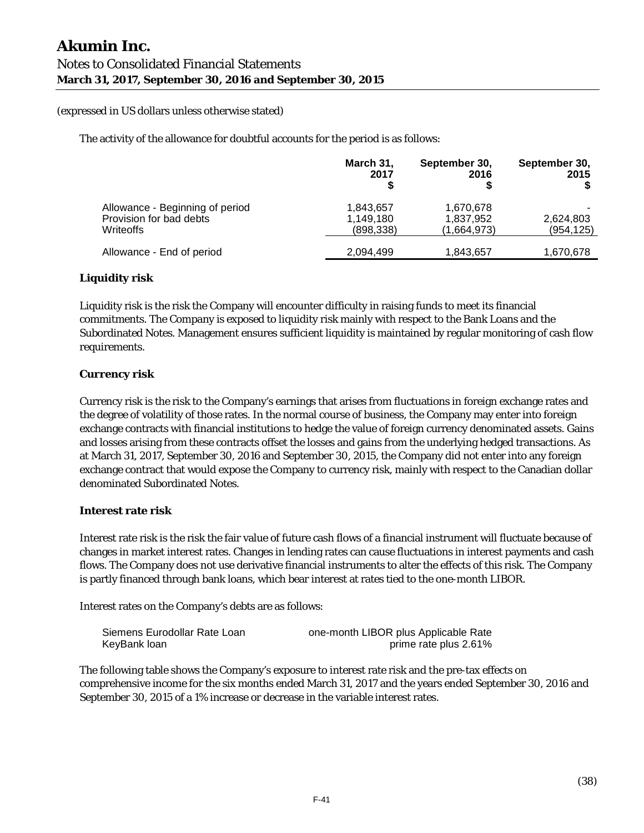The activity of the allowance for doubtful accounts for the period is as follows:

|                                                                         | March 31,<br>2017                    | September 30,<br>2016                 | September 30,<br>2015   |
|-------------------------------------------------------------------------|--------------------------------------|---------------------------------------|-------------------------|
| Allowance - Beginning of period<br>Provision for bad debts<br>Writeoffs | 1,843,657<br>1,149,180<br>(898, 338) | 1,670,678<br>1,837,952<br>(1,664,973) | 2,624,803<br>(954, 125) |
| Allowance - End of period                                               | 2,094,499                            | 1,843,657                             | 1,670,678               |

#### **Liquidity risk**

Liquidity risk is the risk the Company will encounter difficulty in raising funds to meet its financial commitments. The Company is exposed to liquidity risk mainly with respect to the Bank Loans and the Subordinated Notes. Management ensures sufficient liquidity is maintained by regular monitoring of cash flow requirements.

#### **Currency risk**

Currency risk is the risk to the Company's earnings that arises from fluctuations in foreign exchange rates and the degree of volatility of those rates. In the normal course of business, the Company may enter into foreign exchange contracts with financial institutions to hedge the value of foreign currency denominated assets. Gains and losses arising from these contracts offset the losses and gains from the underlying hedged transactions. As at March 31, 2017, September 30, 2016 and September 30, 2015, the Company did not enter into any foreign exchange contract that would expose the Company to currency risk, mainly with respect to the Canadian dollar denominated Subordinated Notes.

#### **Interest rate risk**

Interest rate risk is the risk the fair value of future cash flows of a financial instrument will fluctuate because of changes in market interest rates. Changes in lending rates can cause fluctuations in interest payments and cash flows. The Company does not use derivative financial instruments to alter the effects of this risk. The Company is partly financed through bank loans, which bear interest at rates tied to the one-month LIBOR.

Interest rates on the Company's debts are as follows:

| Siemens Eurodollar Rate Loan | one-month LIBOR plus Applicable Rate |
|------------------------------|--------------------------------------|
| KeyBank loan                 | prime rate plus 2.61%                |

The following table shows the Company's exposure to interest rate risk and the pre-tax effects on comprehensive income for the six months ended March 31, 2017 and the years ended September 30, 2016 and September 30, 2015 of a 1% increase or decrease in the variable interest rates.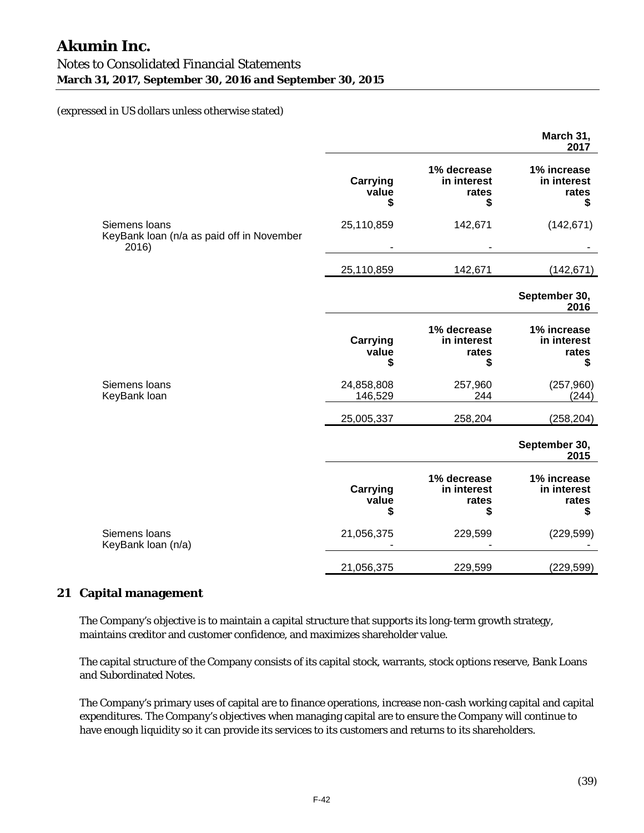|                                                                     |                                |                                           | March 31,<br>2017                         |
|---------------------------------------------------------------------|--------------------------------|-------------------------------------------|-------------------------------------------|
|                                                                     | <b>Carrying</b><br>value<br>\$ | 1% decrease<br>in interest<br>rates<br>\$ | 1% increase<br>in interest<br>rates<br>\$ |
| Siemens loans<br>KeyBank loan (n/a as paid off in November<br>2016) | 25,110,859                     | 142,671                                   | (142, 671)                                |
|                                                                     | 25,110,859                     | 142,671                                   | (142, 671)                                |
|                                                                     |                                |                                           | September 30,<br>2016                     |
|                                                                     | <b>Carrying</b><br>value<br>\$ | 1% decrease<br>in interest<br>rates<br>\$ | 1% increase<br>in interest<br>rates<br>\$ |
| Siemens loans<br>KeyBank loan                                       | 24,858,808<br>146,529          | 257,960<br>244                            | (257, 960)<br>(244)                       |
|                                                                     | 25,005,337                     | 258,204                                   | (258, 204)                                |
|                                                                     |                                |                                           | September 30,<br>2015                     |
|                                                                     | <b>Carrying</b><br>value<br>\$ | 1% decrease<br>in interest<br>rates<br>\$ | 1% increase<br>in interest<br>rates<br>\$ |
| Siemens loans<br>KeyBank loan (n/a)                                 | 21,056,375                     | 229,599                                   | (229, 599)                                |
|                                                                     | 21,056,375                     | 229,599                                   | (229, 599)                                |

#### **21 Capital management**

The Company's objective is to maintain a capital structure that supports its long-term growth strategy, maintains creditor and customer confidence, and maximizes shareholder value.

The capital structure of the Company consists of its capital stock, warrants, stock options reserve, Bank Loans and Subordinated Notes.

The Company's primary uses of capital are to finance operations, increase non-cash working capital and capital expenditures. The Company's objectives when managing capital are to ensure the Company will continue to have enough liquidity so it can provide its services to its customers and returns to its shareholders.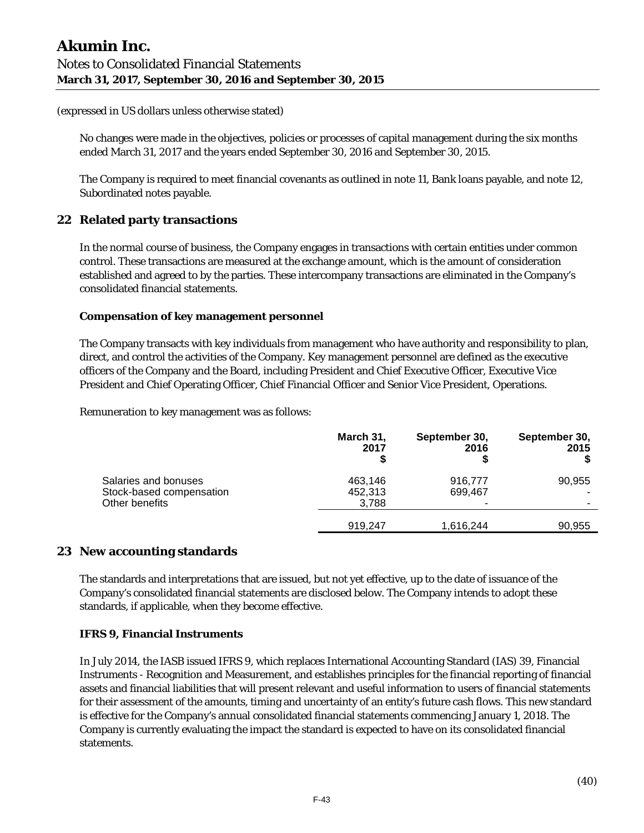No changes were made in the objectives, policies or processes of capital management during the six months ended March 31, 2017 and the years ended September 30, 2016 and September 30, 2015.

The Company is required to meet financial covenants as outlined in note 11, Bank loans payable, and note 12, Subordinated notes payable.

# **22 Related party transactions**

In the normal course of business, the Company engages in transactions with certain entities under common control. These transactions are measured at the exchange amount, which is the amount of consideration established and agreed to by the parties. These intercompany transactions are eliminated in the Company's consolidated financial statements.

#### **Compensation of key management personnel**

The Company transacts with key individuals from management who have authority and responsibility to plan, direct, and control the activities of the Company. Key management personnel are defined as the executive officers of the Company and the Board, including President and Chief Executive Officer, Executive Vice President and Chief Operating Officer, Chief Financial Officer and Senior Vice President, Operations.

Remuneration to key management was as follows:

|                                                                    | March 31,<br>2017           | September 30,<br>2016 | September 30,<br>2015 |
|--------------------------------------------------------------------|-----------------------------|-----------------------|-----------------------|
| Salaries and bonuses<br>Stock-based compensation<br>Other benefits | 463,146<br>452,313<br>3,788 | 916,777<br>699,467    | 90,955                |
|                                                                    | 919,247                     | 1,616,244             | 90,955                |

# **23 New accounting standards**

The standards and interpretations that are issued, but not yet effective, up to the date of issuance of the Company's consolidated financial statements are disclosed below. The Company intends to adopt these standards, if applicable, when they become effective.

#### **IFRS 9, Financial Instruments**

In July 2014, the IASB issued IFRS 9, which replaces International Accounting Standard (IAS) 39, Financial Instruments - Recognition and Measurement, and establishes principles for the financial reporting of financial assets and financial liabilities that will present relevant and useful information to users of financial statements for their assessment of the amounts, timing and uncertainty of an entity's future cash flows. This new standard is effective for the Company's annual consolidated financial statements commencing January 1, 2018. The Company is currently evaluating the impact the standard is expected to have on its consolidated financial statements.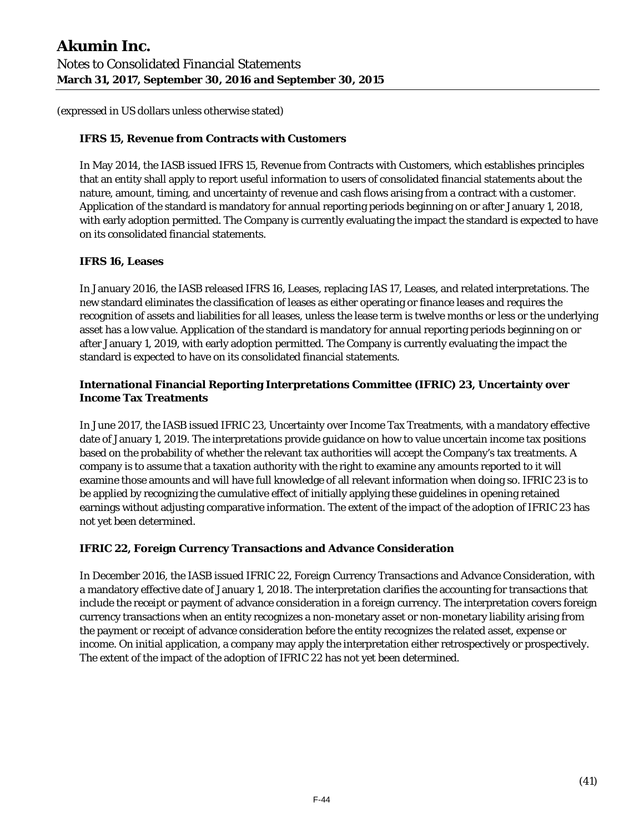#### **IFRS 15, Revenue from Contracts with Customers**

In May 2014, the IASB issued IFRS 15, Revenue from Contracts with Customers, which establishes principles that an entity shall apply to report useful information to users of consolidated financial statements about the nature, amount, timing, and uncertainty of revenue and cash flows arising from a contract with a customer. Application of the standard is mandatory for annual reporting periods beginning on or after January 1, 2018, with early adoption permitted. The Company is currently evaluating the impact the standard is expected to have on its consolidated financial statements.

#### **IFRS 16, Leases**

In January 2016, the IASB released IFRS 16, Leases, replacing IAS 17, Leases, and related interpretations. The new standard eliminates the classification of leases as either operating or finance leases and requires the recognition of assets and liabilities for all leases, unless the lease term is twelve months or less or the underlying asset has a low value. Application of the standard is mandatory for annual reporting periods beginning on or after January 1, 2019, with early adoption permitted. The Company is currently evaluating the impact the standard is expected to have on its consolidated financial statements.

# **International Financial Reporting Interpretations Committee (IFRIC) 23, Uncertainty over Income Tax Treatments**

In June 2017, the IASB issued IFRIC 23, Uncertainty over Income Tax Treatments, with a mandatory effective date of January 1, 2019. The interpretations provide guidance on how to value uncertain income tax positions based on the probability of whether the relevant tax authorities will accept the Company's tax treatments. A company is to assume that a taxation authority with the right to examine any amounts reported to it will examine those amounts and will have full knowledge of all relevant information when doing so. IFRIC 23 is to be applied by recognizing the cumulative effect of initially applying these guidelines in opening retained earnings without adjusting comparative information. The extent of the impact of the adoption of IFRIC 23 has not yet been determined.

#### **IFRIC 22, Foreign Currency Transactions and Advance Consideration**

In December 2016, the IASB issued IFRIC 22, Foreign Currency Transactions and Advance Consideration, with a mandatory effective date of January 1, 2018. The interpretation clarifies the accounting for transactions that include the receipt or payment of advance consideration in a foreign currency. The interpretation covers foreign currency transactions when an entity recognizes a non-monetary asset or non-monetary liability arising from the payment or receipt of advance consideration before the entity recognizes the related asset, expense or income. On initial application, a company may apply the interpretation either retrospectively or prospectively. The extent of the impact of the adoption of IFRIC 22 has not yet been determined.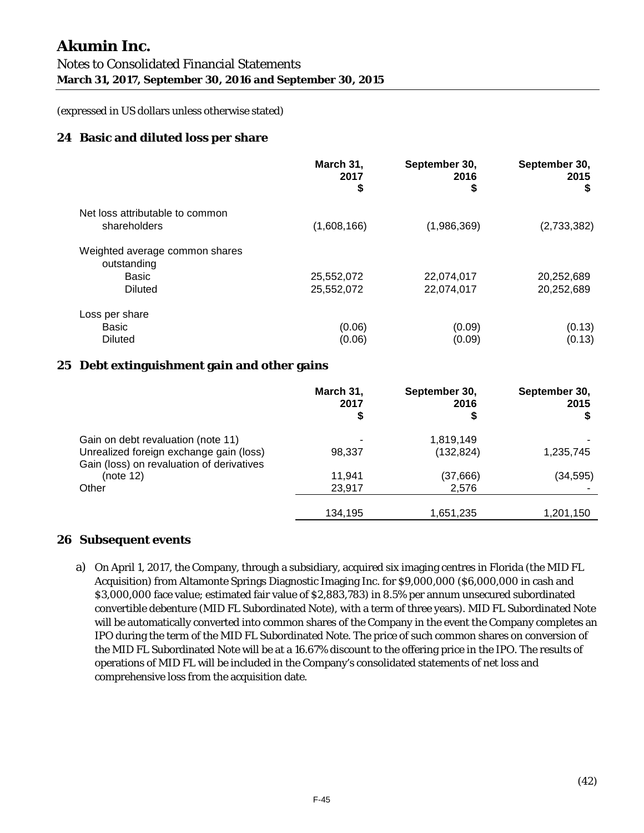# **24 Basic and diluted loss per share**

|                                                                          | March 31,<br>2017<br>\$  | September 30,<br>2016<br>\$ | September 30,<br>2015<br>\$ |
|--------------------------------------------------------------------------|--------------------------|-----------------------------|-----------------------------|
| Net loss attributable to common<br>shareholders                          | (1,608,166)              | (1,986,369)                 | (2,733,382)                 |
| Weighted average common shares<br>outstanding<br><b>Basic</b><br>Diluted | 25,552,072<br>25,552,072 | 22,074,017<br>22,074,017    | 20,252,689<br>20,252,689    |
| Loss per share<br>Basic<br><b>Diluted</b>                                | (0.06)<br>(0.06)         | (0.09)<br>(0.09)            | (0.13)<br>(0.13)            |

# **25 Debt extinguishment gain and other gains**

|                                                                                                                            | March 31,<br>2017<br>S | September 30,<br>2016<br>\$ | September 30,<br>2015 |
|----------------------------------------------------------------------------------------------------------------------------|------------------------|-----------------------------|-----------------------|
| Gain on debt revaluation (note 11)<br>Unrealized foreign exchange gain (loss)<br>Gain (loss) on revaluation of derivatives | 98,337                 | 1,819,149<br>(132, 824)     | 1,235,745             |
| (note 12)<br>Other                                                                                                         | 11.941<br>23,917       | (37,666)<br>2,576           | (34, 595)             |
|                                                                                                                            | 134,195                | 1,651,235                   | 1,201,150             |

#### **26 Subsequent events**

a) On April 1, 2017, the Company, through a subsidiary, acquired six imaging centres in Florida (the MID FL Acquisition) from Altamonte Springs Diagnostic Imaging Inc. for \$9,000,000 (\$6,000,000 in cash and \$3,000,000 face value; estimated fair value of \$2,883,783) in 8.5% per annum unsecured subordinated convertible debenture (MID FL Subordinated Note), with a term of three years). MID FL Subordinated Note will be automatically converted into common shares of the Company in the event the Company completes an IPO during the term of the MID FL Subordinated Note. The price of such common shares on conversion of the MID FL Subordinated Note will be at a 16.67% discount to the offering price in the IPO. The results of operations of MID FL will be included in the Company's consolidated statements of net loss and comprehensive loss from the acquisition date.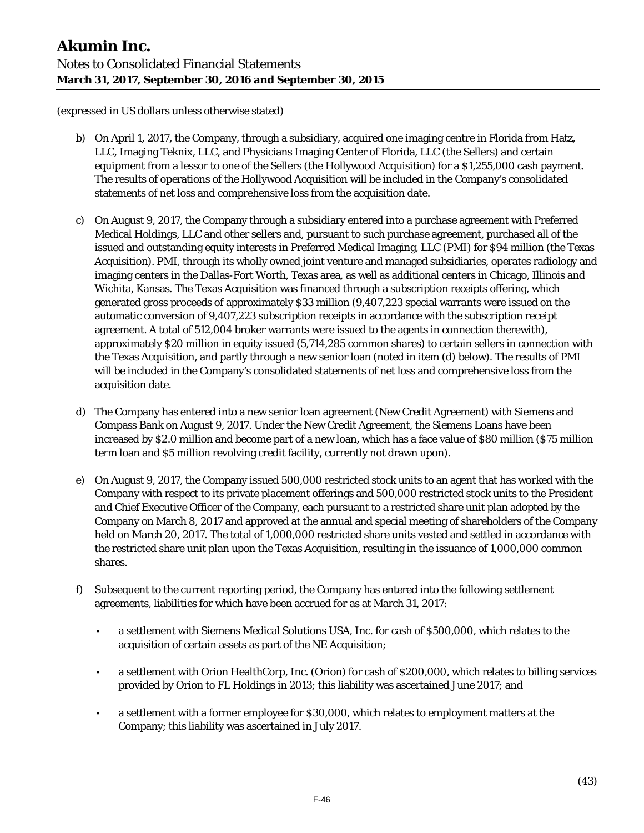- b) On April 1, 2017, the Company, through a subsidiary, acquired one imaging centre in Florida from Hatz, LLC, Imaging Teknix, LLC, and Physicians Imaging Center of Florida, LLC (the Sellers) and certain equipment from a lessor to one of the Sellers (the Hollywood Acquisition) for a \$1,255,000 cash payment. The results of operations of the Hollywood Acquisition will be included in the Company's consolidated statements of net loss and comprehensive loss from the acquisition date.
- c) On August 9, 2017, the Company through a subsidiary entered into a purchase agreement with Preferred Medical Holdings, LLC and other sellers and, pursuant to such purchase agreement, purchased all of the issued and outstanding equity interests in Preferred Medical Imaging, LLC (PMI) for \$94 million (the Texas Acquisition). PMI, through its wholly owned joint venture and managed subsidiaries, operates radiology and imaging centers in the Dallas-Fort Worth, Texas area, as well as additional centers in Chicago, Illinois and Wichita, Kansas. The Texas Acquisition was financed through a subscription receipts offering, which generated gross proceeds of approximately \$33 million (9,407,223 special warrants were issued on the automatic conversion of 9,407,223 subscription receipts in accordance with the subscription receipt agreement. A total of 512,004 broker warrants were issued to the agents in connection therewith), approximately \$20 million in equity issued (5,714,285 common shares) to certain sellers in connection with the Texas Acquisition, and partly through a new senior loan (noted in item (d) below). The results of PMI will be included in the Company's consolidated statements of net loss and comprehensive loss from the acquisition date.
- d) The Company has entered into a new senior loan agreement (New Credit Agreement) with Siemens and Compass Bank on August 9, 2017. Under the New Credit Agreement, the Siemens Loans have been increased by \$2.0 million and become part of a new loan, which has a face value of \$80 million (\$75 million term loan and \$5 million revolving credit facility, currently not drawn upon).
- e) On August 9, 2017, the Company issued 500,000 restricted stock units to an agent that has worked with the Company with respect to its private placement offerings and 500,000 restricted stock units to the President and Chief Executive Officer of the Company, each pursuant to a restricted share unit plan adopted by the Company on March 8, 2017 and approved at the annual and special meeting of shareholders of the Company held on March 20, 2017. The total of 1,000,000 restricted share units vested and settled in accordance with the restricted share unit plan upon the Texas Acquisition, resulting in the issuance of 1,000,000 common shares.
- f) Subsequent to the current reporting period, the Company has entered into the following settlement agreements, liabilities for which have been accrued for as at March 31, 2017:
	- a settlement with Siemens Medical Solutions USA, Inc. for cash of \$500,000, which relates to the acquisition of certain assets as part of the NE Acquisition;
	- a settlement with Orion HealthCorp, Inc. (Orion) for cash of \$200,000, which relates to billing services provided by Orion to FL Holdings in 2013; this liability was ascertained June 2017; and
	- a settlement with a former employee for \$30,000, which relates to employment matters at the Company; this liability was ascertained in July 2017.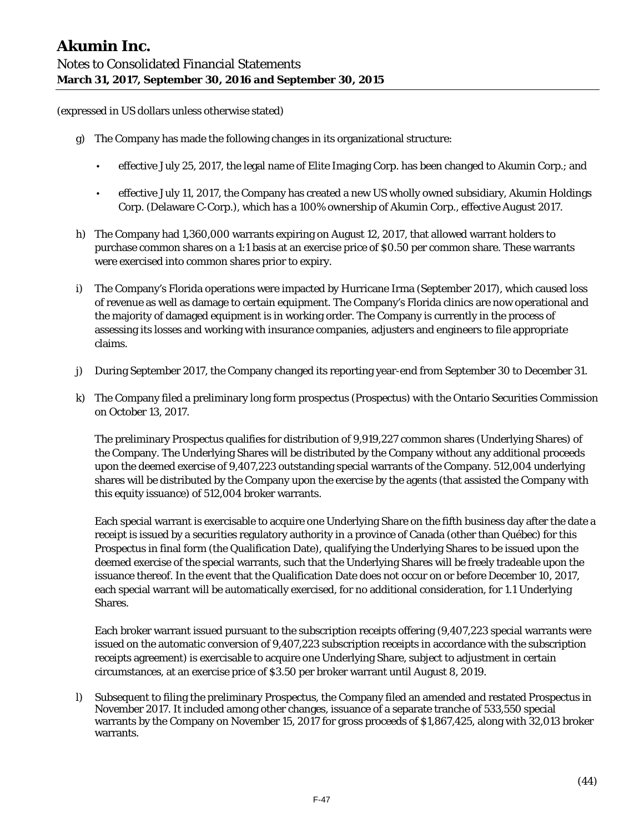- g) The Company has made the following changes in its organizational structure:
	- effective July 25, 2017, the legal name of Elite Imaging Corp. has been changed to Akumin Corp.; and
	- effective July 11, 2017, the Company has created a new US wholly owned subsidiary, Akumin Holdings Corp. (Delaware C-Corp.), which has a 100% ownership of Akumin Corp., effective August 2017.
- h) The Company had 1,360,000 warrants expiring on August 12, 2017, that allowed warrant holders to purchase common shares on a 1:1 basis at an exercise price of \$0.50 per common share. These warrants were exercised into common shares prior to expiry.
- i) The Company's Florida operations were impacted by Hurricane Irma (September 2017), which caused loss of revenue as well as damage to certain equipment. The Company's Florida clinics are now operational and the majority of damaged equipment is in working order. The Company is currently in the process of assessing its losses and working with insurance companies, adjusters and engineers to file appropriate claims.
- j) During September 2017, the Company changed its reporting year-end from September 30 to December 31.
- k) The Company filed a preliminary long form prospectus (Prospectus) with the Ontario Securities Commission on October 13, 2017.

The preliminary Prospectus qualifies for distribution of 9,919,227 common shares (Underlying Shares) of the Company. The Underlying Shares will be distributed by the Company without any additional proceeds upon the deemed exercise of 9,407,223 outstanding special warrants of the Company. 512,004 underlying shares will be distributed by the Company upon the exercise by the agents (that assisted the Company with this equity issuance) of 512,004 broker warrants.

Each special warrant is exercisable to acquire one Underlying Share on the fifth business day after the date a receipt is issued by a securities regulatory authority in a province of Canada (other than Québec) for this Prospectus in final form (the Qualification Date), qualifying the Underlying Shares to be issued upon the deemed exercise of the special warrants, such that the Underlying Shares will be freely tradeable upon the issuance thereof. In the event that the Qualification Date does not occur on or before December 10, 2017, each special warrant will be automatically exercised, for no additional consideration, for 1.1 Underlying Shares.

Each broker warrant issued pursuant to the subscription receipts offering (9,407,223 special warrants were issued on the automatic conversion of 9,407,223 subscription receipts in accordance with the subscription receipts agreement) is exercisable to acquire one Underlying Share, subject to adjustment in certain circumstances, at an exercise price of \$3.50 per broker warrant until August 8, 2019.

l) Subsequent to filing the preliminary Prospectus, the Company filed an amended and restated Prospectus in November 2017. It included among other changes, issuance of a separate tranche of 533,550 special warrants by the Company on November 15, 2017 for gross proceeds of \$1,867,425, along with 32,013 broker warrants.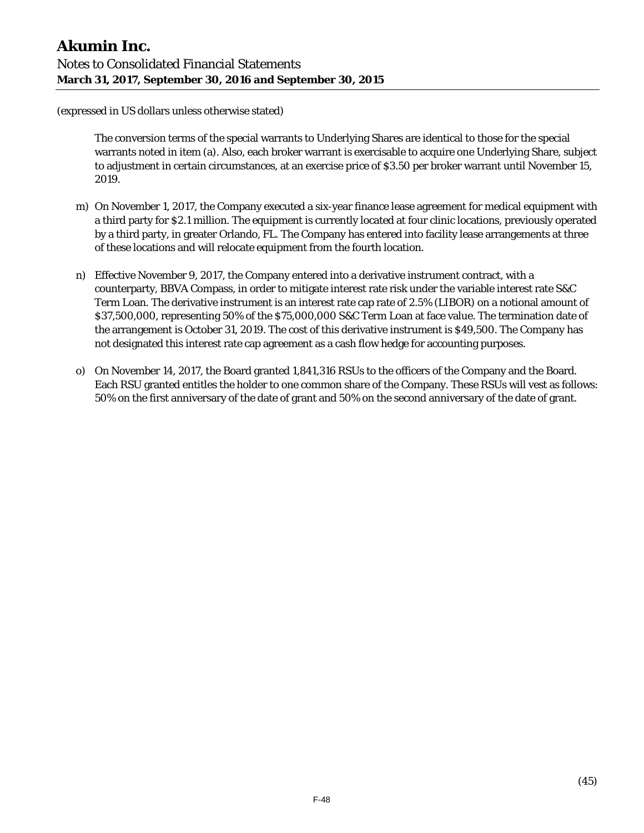The conversion terms of the special warrants to Underlying Shares are identical to those for the special warrants noted in item (a). Also, each broker warrant is exercisable to acquire one Underlying Share, subject to adjustment in certain circumstances, at an exercise price of \$3.50 per broker warrant until November 15, 2019.

- m) On November 1, 2017, the Company executed a six-year finance lease agreement for medical equipment with a third party for \$2.1 million. The equipment is currently located at four clinic locations, previously operated by a third party, in greater Orlando, FL. The Company has entered into facility lease arrangements at three of these locations and will relocate equipment from the fourth location.
- n) Effective November 9, 2017, the Company entered into a derivative instrument contract, with a counterparty, BBVA Compass, in order to mitigate interest rate risk under the variable interest rate S&C Term Loan. The derivative instrument is an interest rate cap rate of 2.5% (LIBOR) on a notional amount of \$37,500,000, representing 50% of the \$75,000,000 S&C Term Loan at face value. The termination date of the arrangement is October 31, 2019. The cost of this derivative instrument is \$49,500. The Company has not designated this interest rate cap agreement as a cash flow hedge for accounting purposes.
- o) On November 14, 2017, the Board granted 1,841,316 RSUs to the officers of the Company and the Board. Each RSU granted entitles the holder to one common share of the Company. These RSUs will vest as follows: 50% on the first anniversary of the date of grant and 50% on the second anniversary of the date of grant.